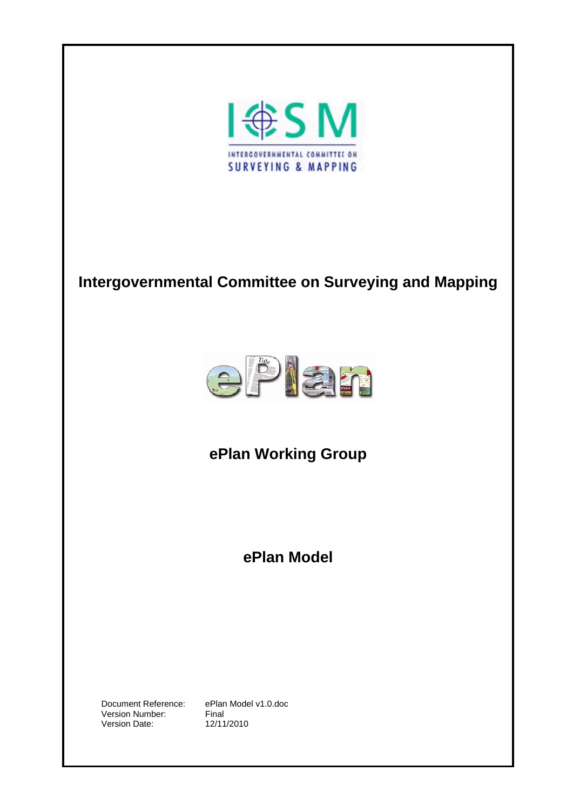

# **Intergovernmental Committee on Surveying and Mapping**



**ePlan Working Group** 

# **ePlan Model**

Version Number:<br>
Version Date: 12/11/2010 Version Date:

Document Reference: ePlan Model v1.0.doc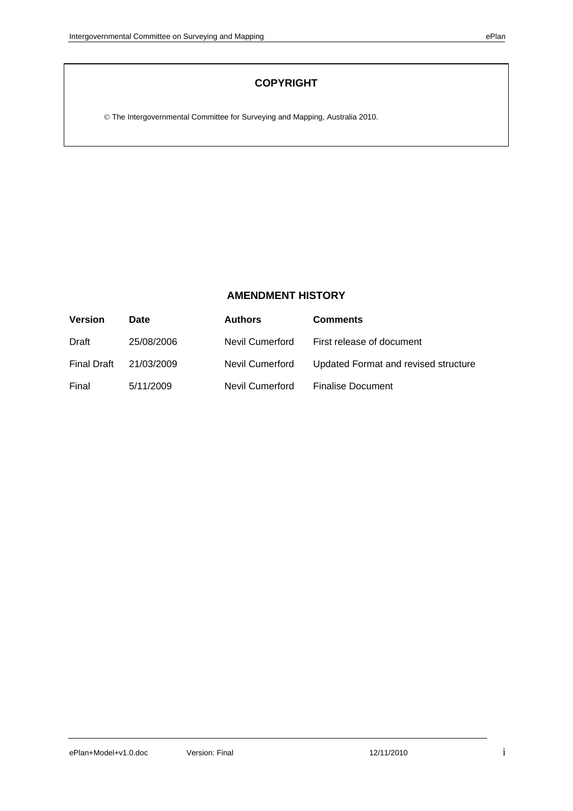#### **COPYRIGHT**

The Intergovernmental Committee for Surveying and Mapping, Australia 2010.

#### **AMENDMENT HISTORY**

| <b>Version</b>     | Date       | <b>Authors</b>  | <b>Comments</b>                      |
|--------------------|------------|-----------------|--------------------------------------|
| Draft              | 25/08/2006 | Nevil Cumerford | First release of document            |
| <b>Final Draft</b> | 21/03/2009 | Nevil Cumerford | Updated Format and revised structure |
| Final              | 5/11/2009  | Nevil Cumerford | <b>Finalise Document</b>             |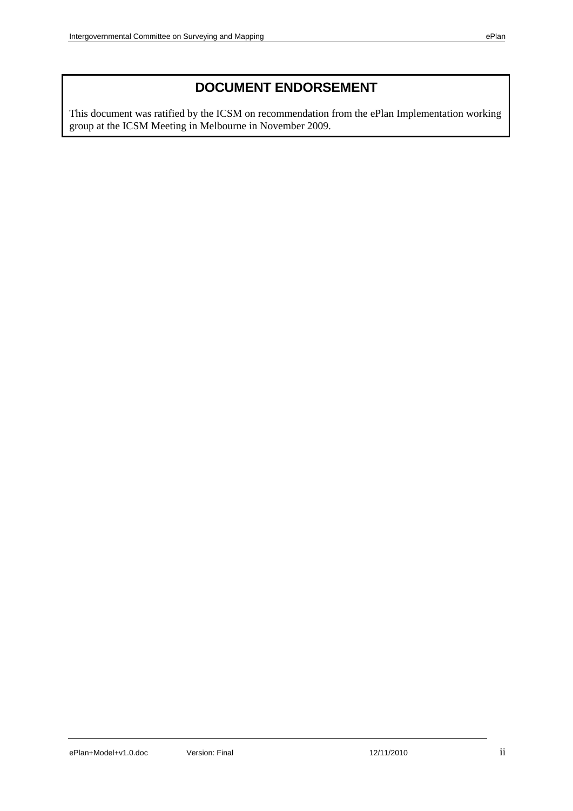This document was ratified by the ICSM on recommendation from the ePlan Implementation working group at the ICSM Meeting in Melbourne in November 2009.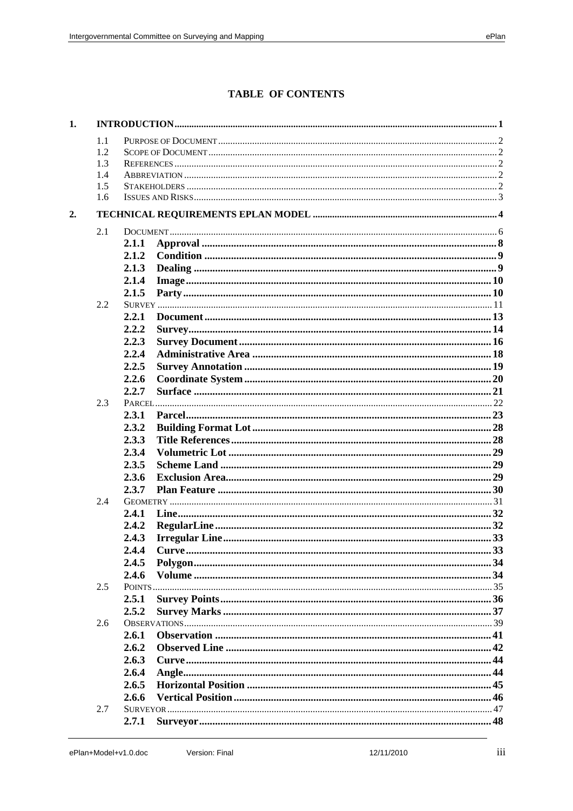#### **TABLE OF CONTENTS**

| 1. |     |       |  |
|----|-----|-------|--|
|    | 1.1 |       |  |
|    | 1.2 |       |  |
|    | 1.3 |       |  |
|    | 1.4 |       |  |
|    | 1.5 |       |  |
|    | 1.6 |       |  |
| 2. |     |       |  |
|    | 2.1 |       |  |
|    |     | 2.1.1 |  |
|    |     | 2.1.2 |  |
|    |     | 2.1.3 |  |
|    |     | 2.1.4 |  |
|    |     | 2.1.5 |  |
|    | 2.2 |       |  |
|    |     | 2.2.1 |  |
|    |     | 2.2.2 |  |
|    |     | 2.2.3 |  |
|    |     |       |  |
|    |     | 2.2.4 |  |
|    |     | 2.2.5 |  |
|    |     | 2.2.6 |  |
|    |     | 2.2.7 |  |
|    | 2.3 |       |  |
|    |     | 2.3.1 |  |
|    |     | 2.3.2 |  |
|    |     | 2.3.3 |  |
|    |     | 2.3.4 |  |
|    |     | 2.3.5 |  |
|    |     | 2.3.6 |  |
|    |     | 2.3.7 |  |
|    | 2.4 |       |  |
|    |     | 2.4.1 |  |
|    |     | 2.4.2 |  |
|    |     | 2.4.3 |  |
|    |     | 2.4.4 |  |
|    |     | 2.4.5 |  |
|    |     | 2.4.6 |  |
|    | 2.5 |       |  |
|    |     | 2.5.1 |  |
|    |     | 2.5.2 |  |
|    | 2.6 |       |  |
|    |     | 2.6.1 |  |
|    |     | 2.6.2 |  |
|    |     | 2.6.3 |  |
|    |     | 2.6.4 |  |
|    |     | 2.6.5 |  |
|    |     | 2.6.6 |  |
|    | 2.7 |       |  |
|    |     | 2.7.1 |  |
|    |     |       |  |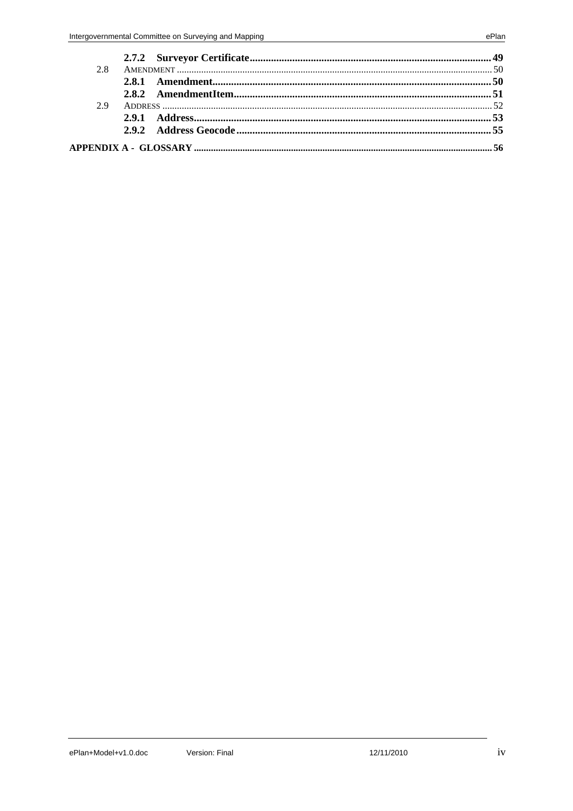| 2.8 |  |  |
|-----|--|--|
|     |  |  |
|     |  |  |
| 2.9 |  |  |
|     |  |  |
|     |  |  |
|     |  |  |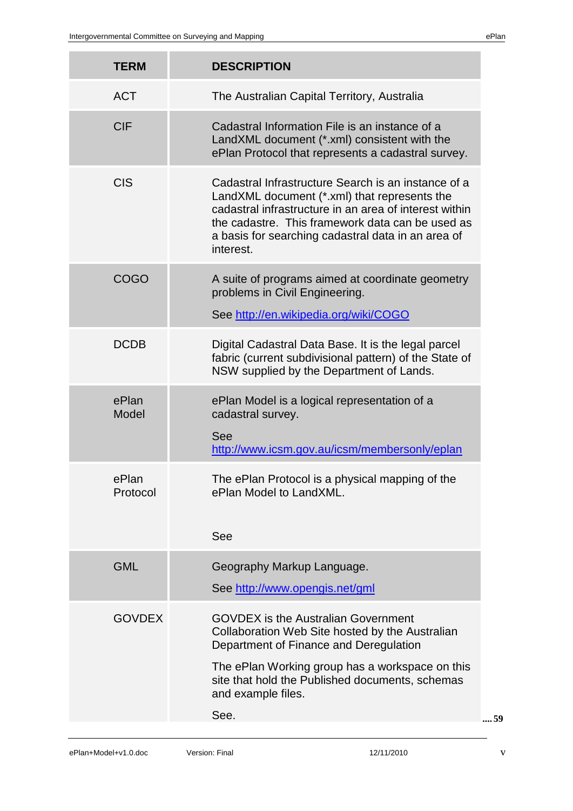| <b>TERM</b>       | <b>DESCRIPTION</b>                                                                                                                                                                                                                                                                   |
|-------------------|--------------------------------------------------------------------------------------------------------------------------------------------------------------------------------------------------------------------------------------------------------------------------------------|
| <b>ACT</b>        | The Australian Capital Territory, Australia                                                                                                                                                                                                                                          |
| <b>CIF</b>        | Cadastral Information File is an instance of a<br>LandXML document (*.xml) consistent with the<br>ePlan Protocol that represents a cadastral survey.                                                                                                                                 |
| <b>CIS</b>        | Cadastral Infrastructure Search is an instance of a<br>LandXML document (*.xml) that represents the<br>cadastral infrastructure in an area of interest within<br>the cadastre. This framework data can be used as<br>a basis for searching cadastral data in an area of<br>interest. |
| <b>COGO</b>       | A suite of programs aimed at coordinate geometry<br>problems in Civil Engineering.<br>See http://en.wikipedia.org/wiki/COGO                                                                                                                                                          |
| <b>DCDB</b>       | Digital Cadastral Data Base. It is the legal parcel<br>fabric (current subdivisional pattern) of the State of<br>NSW supplied by the Department of Lands.                                                                                                                            |
| ePlan<br>Model    | ePlan Model is a logical representation of a<br>cadastral survey.<br><b>See</b><br>http://www.icsm.gov.au/icsm/membersonly/eplan                                                                                                                                                     |
| ePlan<br>Protocol | The ePlan Protocol is a physical mapping of the<br>ePlan Model to LandXML.<br>See                                                                                                                                                                                                    |
| <b>GML</b>        | Geography Markup Language.<br>See http://www.opengis.net/gml                                                                                                                                                                                                                         |
| <b>GOVDEX</b>     | <b>GOVDEX</b> is the Australian Government<br>Collaboration Web Site hosted by the Australian<br>Department of Finance and Deregulation                                                                                                                                              |
|                   | The ePlan Working group has a workspace on this<br>site that hold the Published documents, schemas<br>and example files.                                                                                                                                                             |
|                   | See.                                                                                                                                                                                                                                                                                 |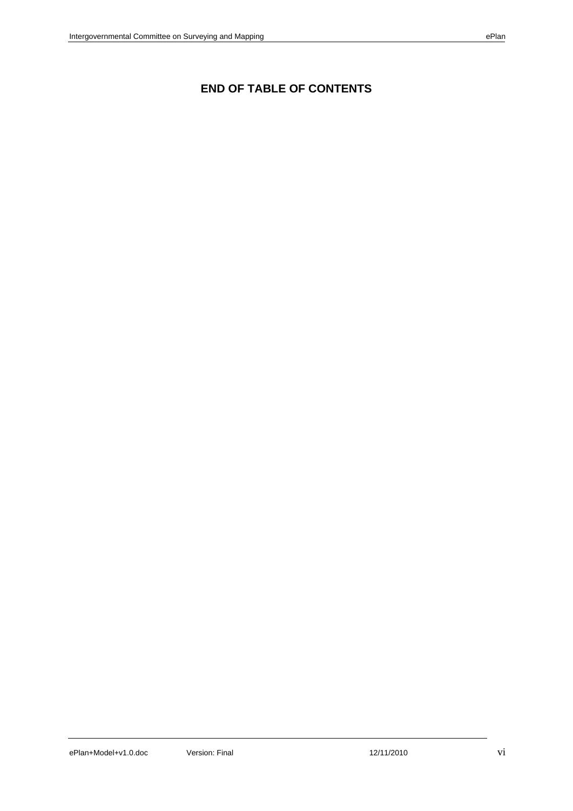## **END OF TABLE OF CONTENTS**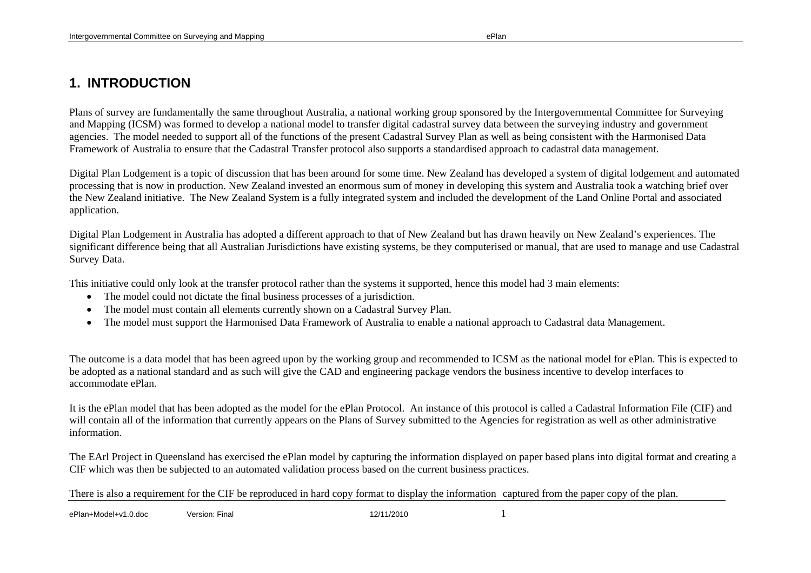## **1. INTRODUCTION**

Plans of survey are fundamentally the same throughout Australia, a national working group sponsored by the Intergovernmental Committee for Surveying and Mapping (ICSM) was formed to develop a national model to transfer digital cadastral survey data between the surveying industry and government agencies. The model needed to support all of the functions of the present Cadastral Survey Plan as well as being consistent with the Harmonised Data Framework of Australia to ensure that the Cadastral Transfer protocol also supports a standardised approach to cadastral data management.

Digital Plan Lodgement is a topic of discussion that has been around for some time. New Zealand has developed a system of digital lodgement and automated processing that is now in production. New Zealand invested an enormous sum of money in developing this system and Australia took a watching brief over the New Zealand initiative. The New Zealand System is a fully integrated system and included the development of the Land Online Portal and associated application.

Digital Plan Lodgement in Australia has adopted a different approach to that of New Zealand but has drawn heavily on New Zealand's experiences. The significant difference being that all Australian Jurisdictions have existing systems, be they computerised or manual, that are used to manage and use Cadastral Survey Data.

This initiative could only look at the transfer protocol rather than the systems it supported, hence this model had 3 main elements:

- The model could not dictate the final business processes of a jurisdiction.
- $\bullet$ The model must contain all elements currently shown on a Cadastral Survey Plan.
- . The model must support the Harmonised Data Framework of Australia to enable a national approach to Cadastral data Management.

The outcome is a data model that has been agreed upon by the working group and recommended to ICSM as the national model for ePlan. This is expected to be adopted as a national standard and as such will give the CAD and engineering package vendors the business incentive to develop interfaces to accommodate ePlan.

It is the ePlan model that has been adopted as the model for the ePlan Protocol. An instance of this protocol is called a Cadastral Information File (CIF) and will contain all of the information that currently appears on the Plans of Survey submitted to the Agencies for registration as well as other administrative information.

The EArl Project in Queensland has exercised the ePlan model by capturing the information displayed on paper based plans into digital format and creating a CIF which was then be subjected to an automated validation process based on the current business practices.

There is also a requirement for the CIF be reproduced in hard copy format to display the information captured from the paper copy of the plan.

ePlan+Model+v1.0.doc Version: Final 12/11/2010 12/11/2010 1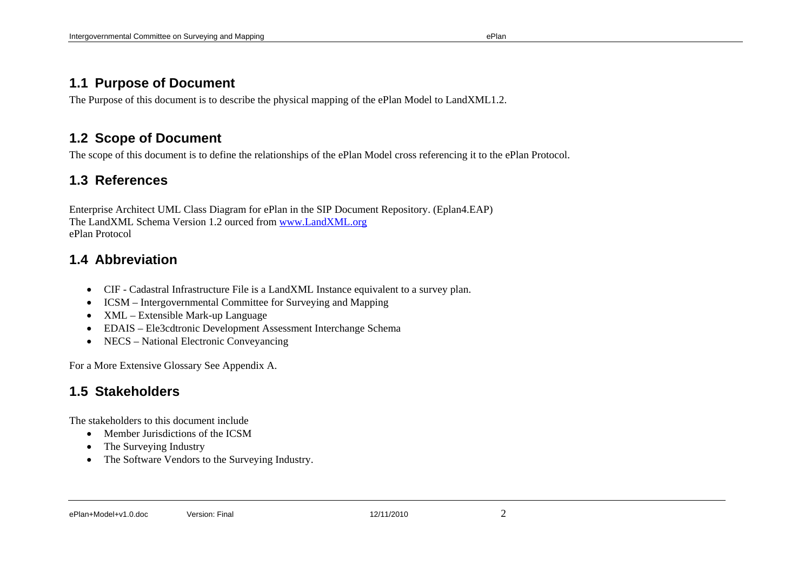## **1.1 Purpose of Document**

The Purpose of this document is to describe the physical mapping of the ePlan Model to LandXML1.2.

## **1.2 Scope of Document**

The scope of this document is to define the relationships of the ePlan Model cross referencing it to the ePlan Protocol.

## **1.3 References**

Enterprise Architect UML Class Diagram for ePlan in the SIP Document Repository. (Eplan4.EAP) The LandXML Schema Version 1.2 ourced from www.LandXML.org ePlan Protocol

## **1.4 Abbreviation**

- CIF Cadastral Infrastructure File is a LandXML Instance equivalent to a survey plan.
- $\bullet$ ICSM – Intergovernmental Committee for Surveying and Mapping
- XML Extensible Mark-up Language
- EDAIS Ele3cdtronic Development Assessment Interchange Schema
- $\bullet$ NECS – National Electronic Conveyancing

For a More Extensive Glossary See Appendix A.

## **1.5 Stakeholders**

The stakeholders to this document include

- Member Jurisdictions of the ICSM
- $\bullet$ The Surveying Industry
- The Software Vendors to the Surveying Industry.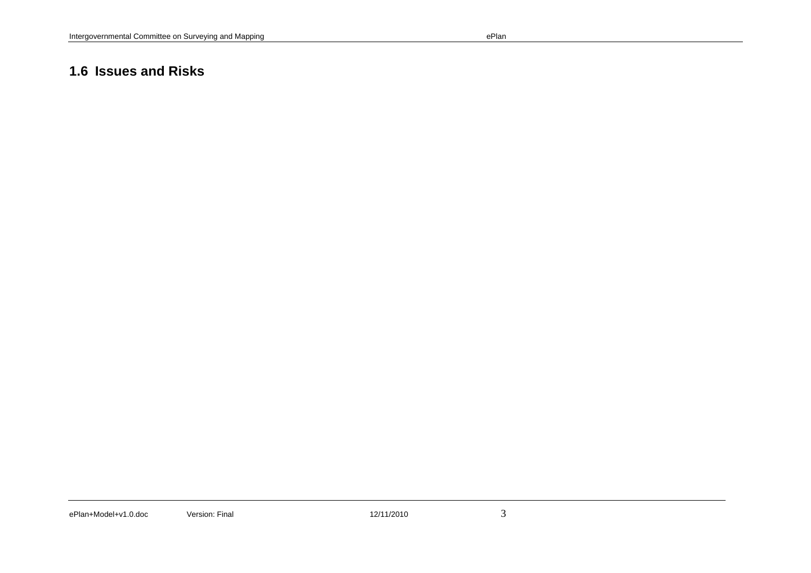### **1.6 Issues and Risks**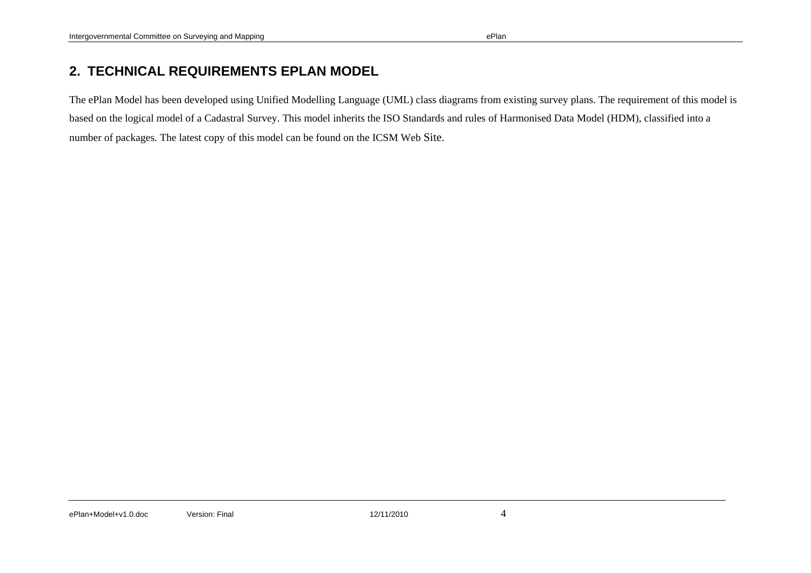## **2. TECHNICAL REQUIREMENTS EPLAN MODEL**

The ePlan Model has been developed using Unified Modelling Language (UML) class diagrams from existing survey plans. The requirement of this model is based on the logical model of a Cadastral Survey. This model inherits the ISO Standards and rules of Harmonised Data Model (HDM), classified into a number of packages. The latest copy of this model can be found on the ICSM Web Site.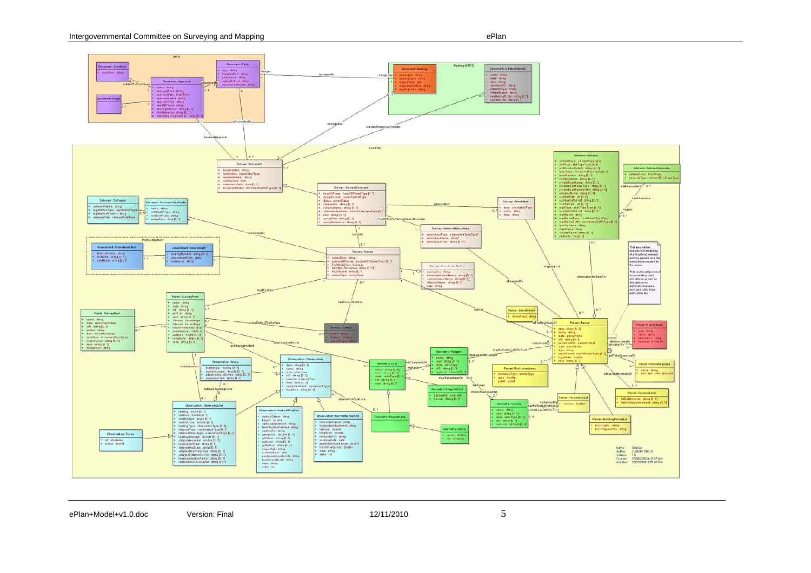



ePlan+Model+v1.0.doc Version: Final 12/11/2010 12/11/2010 5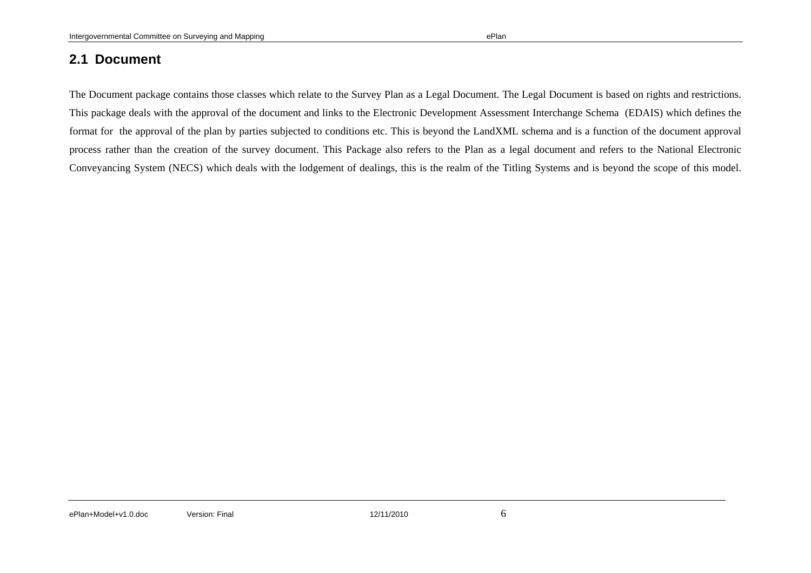## **2.1 Document**

The Document package contains those classes which relate to the Survey Plan as a Legal Document. The Legal Document is based on rights and restrictions. This package deals with the approval of the document and links to the Electronic Development Assessment Interchange Schema (EDAIS) which defines the format for the approval of the plan by parties subjected to conditions etc. This is beyond the LandXML schema and is a function of the document approval process rather than the creation of the survey document. This Package also refers to the Plan as a legal document and refers to the National Electronic Conveyancing System (NECS) which deals with the lodgement of dealings, this is the realm of the Titling Systems and is beyond the scope of this model.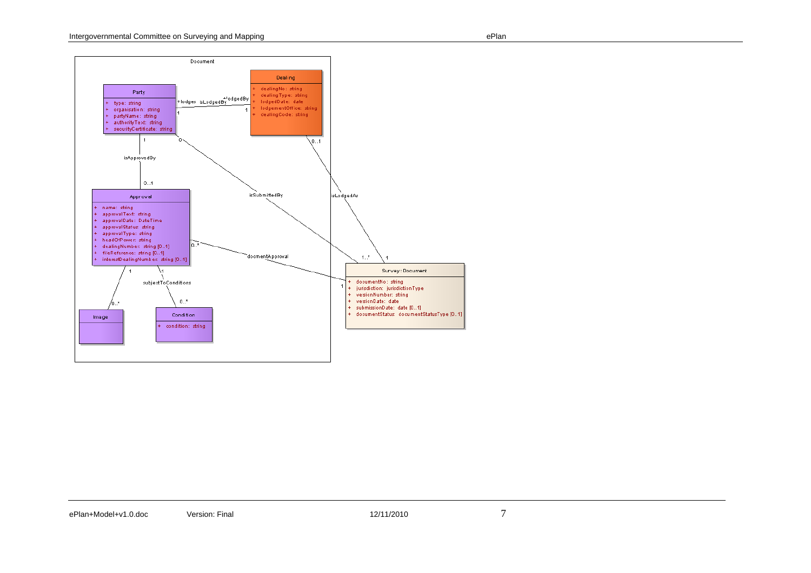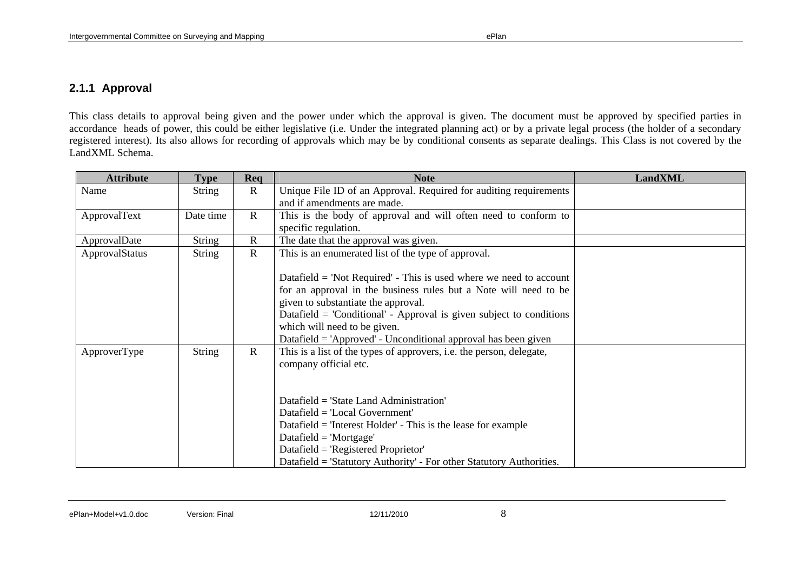#### **2.1.1 Approval**

This class details to approval being given and the power under which the approval is given. The document must be approved by specified parties in accordance heads of power, this could be either legislative (i.e. Under the integrated planning act) or by a private legal process (the holder of a secondary registered interest). Its also allows for recording of approvals which may be by conditional consents as separate dealings. This Class is not covered by the LandXML Schema.

| <b>Attribute</b> | <b>Type</b>   | Req          | <b>Note</b>                                                          | <b>LandXML</b> |
|------------------|---------------|--------------|----------------------------------------------------------------------|----------------|
| Name             | String        | $\mathbf R$  | Unique File ID of an Approval. Required for auditing requirements    |                |
|                  |               |              | and if amendments are made.                                          |                |
| ApprovalText     | Date time     | $\mathbf{R}$ | This is the body of approval and will often need to conform to       |                |
|                  |               |              | specific regulation.                                                 |                |
| ApprovalDate     | <b>String</b> | $\mathbf R$  | The date that the approval was given.                                |                |
| ApprovalStatus   | String        | $\mathbf R$  | This is an enumerated list of the type of approval.                  |                |
|                  |               |              |                                                                      |                |
|                  |               |              | Datafield = 'Not Required' - This is used where we need to account   |                |
|                  |               |              | for an approval in the business rules but a Note will need to be     |                |
|                  |               |              | given to substantiate the approval.                                  |                |
|                  |               |              | Datafield = 'Conditional' - Approval is given subject to conditions  |                |
|                  |               |              | which will need to be given.                                         |                |
|                  |               |              | Datafield = 'Approved' - Unconditional approval has been given       |                |
| ApproverType     | <b>String</b> | $\mathbf{R}$ | This is a list of the types of approvers, i.e. the person, delegate, |                |
|                  |               |              | company official etc.                                                |                |
|                  |               |              |                                                                      |                |
|                  |               |              |                                                                      |                |
|                  |               |              | Datafield = 'State Land Administration'                              |                |
|                  |               |              | Datafield = 'Local Government'                                       |                |
|                  |               |              | Datafield = 'Interest Holder' - This is the lease for example        |                |
|                  |               |              | $\text{Datafield} = 'Mortgage'$                                      |                |
|                  |               |              | Datafield = 'Registered Proprietor'                                  |                |
|                  |               |              | Datafield = 'Statutory Authority' - For other Statutory Authorities. |                |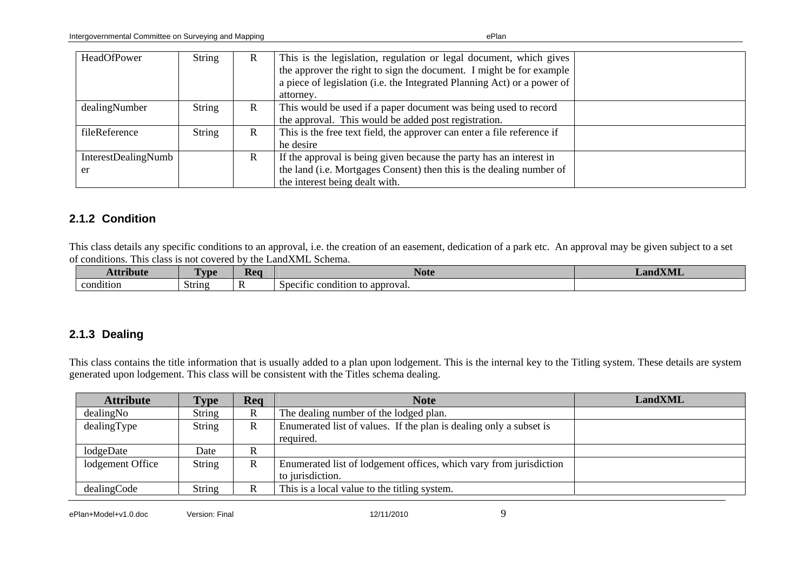| HeadOfPower               | String        | R  | This is the legislation, regulation or legal document, which gives<br>the approver the right to sign the document. I might be for example<br>a piece of legislation (i.e. the Integrated Planning Act) or a power of<br>attorney. |  |
|---------------------------|---------------|----|-----------------------------------------------------------------------------------------------------------------------------------------------------------------------------------------------------------------------------------|--|
| dealingNumber             | String        | R. | This would be used if a paper document was being used to record<br>the approval. This would be added post registration.                                                                                                           |  |
| fileReference             | <b>String</b> | R. | This is the free text field, the approver can enter a file reference if<br>he desire                                                                                                                                              |  |
| InterestDealingNumb<br>er |               | R  | If the approval is being given because the party has an interest in<br>the land (i.e. Mortgages Consent) then this is the dealing number of<br>the interest being dealt with.                                                     |  |

#### **2.1.2 Condition**

This class details any specific conditions to an approval, i.e. the creation of an easement, dedication of a park etc. An approval may be given subject to a set of conditions. This class is not covered by the LandXML Schema.

| $\bullet$<br>nm | $\mathbf{v}$ $\mathbf{p}$ |     | Note                                    | <b>IXTR</b><br>An |
|-----------------|---------------------------|-----|-----------------------------------------|-------------------|
| condition       | ⌒<br>String               | . . | ן approval.<br>condition to<br>Specific |                   |

### **2.1.3 Dealing**

This class contains the title information that is usually added to a plan upon lodgement. This is the internal key to the Titling system. These details are system generated upon lodgement. This class will be consistent with the Titles schema dealing.

| <b>Attribute</b> | <b>Type</b>   | Req | <b>Note</b>                                                                            | LandXML |
|------------------|---------------|-----|----------------------------------------------------------------------------------------|---------|
| dealingNo        | <b>String</b> | R   | The dealing number of the lodged plan.                                                 |         |
| dealingType      | <b>String</b> | R   | Enumerated list of values. If the plan is dealing only a subset is<br>required.        |         |
| lodgeDate        | Date          | R   |                                                                                        |         |
| lodgement Office | <b>String</b> | R   | Enumerated list of lodgement offices, which vary from jurisdiction<br>to jurisdiction. |         |
| dealingCode      | <b>String</b> |     | This is a local value to the titling system.                                           |         |

| ePlan+Model+v1.0.doc | Version: Final | 12/11/2010 |  |
|----------------------|----------------|------------|--|
|                      |                |            |  |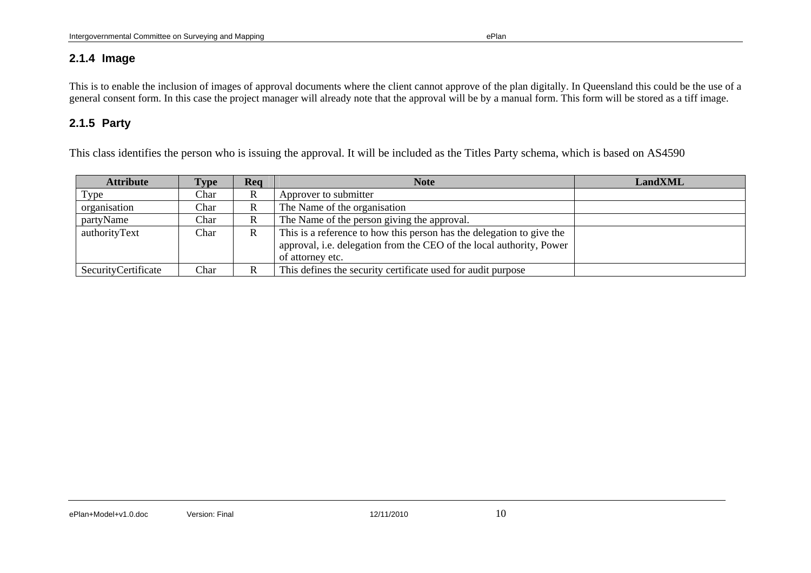#### **2.1.4 Image**

This is to enable the inclusion of images of approval documents where the client cannot approve of the plan digitally. In Queensland this could be the use of a general consent form. In this case the project manager will already note that the approval will be by a manual form. This form will be stored as a tiff image.

### **2.1.5 Party**

This class identifies the person who is issuing the approval. It will be included as the Titles Party schema, which is based on AS4590

| <b>Attribute</b>    | <b>Type</b> | Req | <b>Note</b>                                                                                                                                                       | <b>LandXML</b> |
|---------------------|-------------|-----|-------------------------------------------------------------------------------------------------------------------------------------------------------------------|----------------|
| Type                | Char        | R   | Approver to submitter                                                                                                                                             |                |
| organisation        | Char        | R   | The Name of the organisation                                                                                                                                      |                |
| partyName           | Char        | R   | The Name of the person giving the approval.                                                                                                                       |                |
| authorityText       | Char        | R   | This is a reference to how this person has the delegation to give the<br>approval, i.e. delegation from the CEO of the local authority, Power<br>of attorney etc. |                |
| SecurityCertificate | Char        |     | This defines the security certificate used for audit purpose                                                                                                      |                |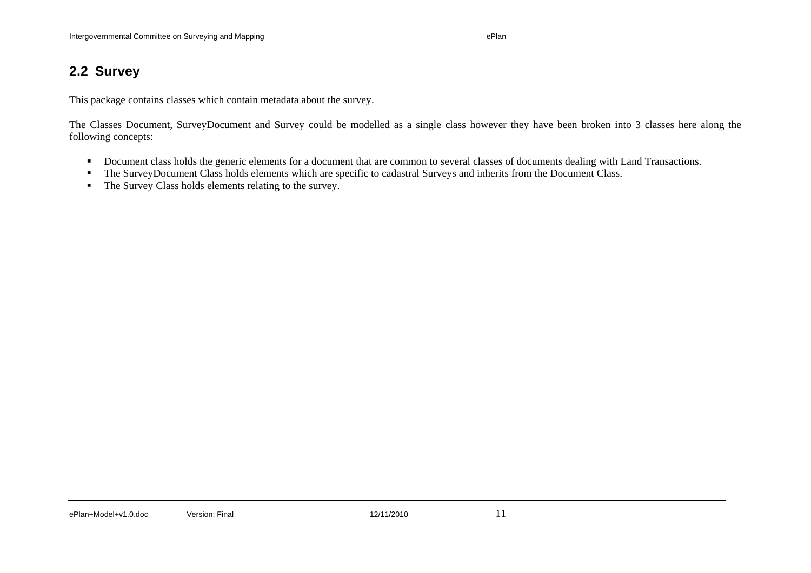## **2.2 Survey**

This package contains classes which contain metadata about the survey.

The Classes Document, SurveyDocument and Survey could be modelled as a single class however they have been broken into 3 classes here along the following concepts:

- Document class holds the generic elements for a document that are common to several classes of documents dealing with Land Transactions.
- $\blacksquare$ The SurveyDocument Class holds elements which are specific to cadastral Surveys and inherits from the Document Class.
- The Survey Class holds elements relating to the survey.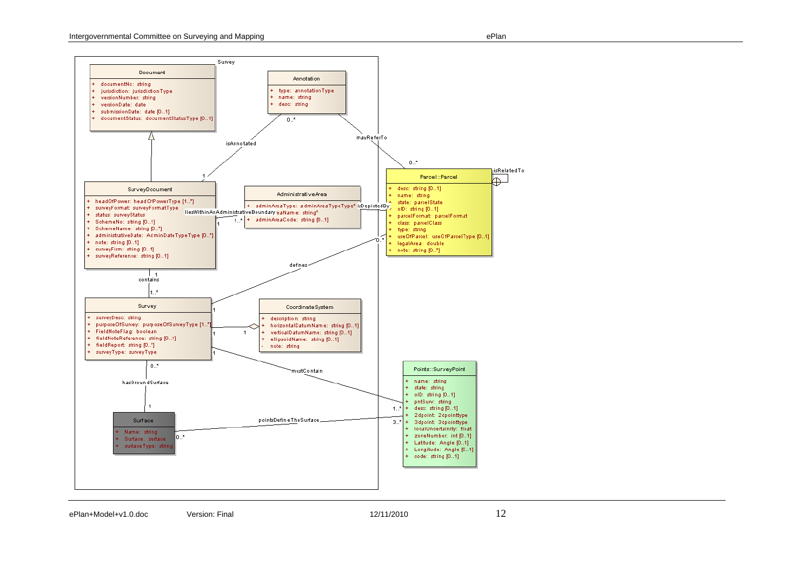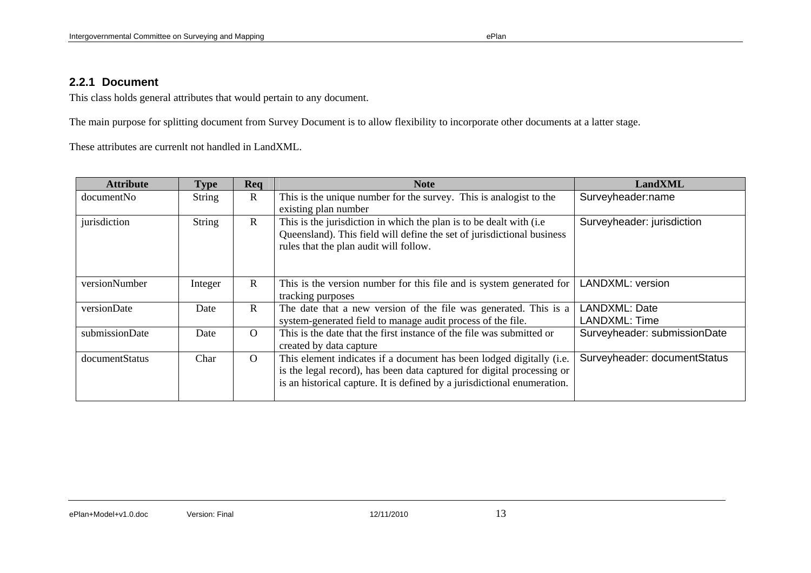#### **2.2.1 Document**

This class holds general attributes that would pertain to any document.

The main purpose for splitting document from Survey Document is to allow flexibility to incorporate other documents at a latter stage.

These attributes are currenlt not handled in LandXML.

| <b>Attribute</b> | <b>Type</b>   | Req          | <b>Note</b>                                                                                                                                                                                                                | LandXML                      |
|------------------|---------------|--------------|----------------------------------------------------------------------------------------------------------------------------------------------------------------------------------------------------------------------------|------------------------------|
| documentNo       | <b>String</b> | $\mathbf{R}$ | This is the unique number for the survey. This is analogist to the                                                                                                                                                         | Surveyheader:name            |
|                  |               |              | existing plan number                                                                                                                                                                                                       |                              |
| jurisdiction     | <b>String</b> | $\mathbf{R}$ | This is the jurisdiction in which the plan is to be dealt with (i.e.<br>Queensland). This field will define the set of jurisdictional business<br>rules that the plan audit will follow.                                   | Surveyheader: jurisdiction   |
|                  |               |              |                                                                                                                                                                                                                            |                              |
| versionNumber    | Integer       | $\mathbf{R}$ | This is the version number for this file and is system generated for<br>tracking purposes                                                                                                                                  | LANDXML: version             |
| versionDate      | Date          | $\mathbf{R}$ | The date that a new version of the file was generated. This is a                                                                                                                                                           | LANDXML: Date                |
|                  |               |              | system-generated field to manage audit process of the file.                                                                                                                                                                | <b>LANDXML: Time</b>         |
| submissionDate   | Date          | $\Omega$     | This is the date that the first instance of the file was submitted or<br>created by data capture                                                                                                                           | Surveyheader: submissionDate |
| documentStatus   | Char          | $\Omega$     | This element indicates if a document has been lodged digitally (i.e.<br>is the legal record), has been data captured for digital processing or<br>is an historical capture. It is defined by a jurisdictional enumeration. | Surveyheader: documentStatus |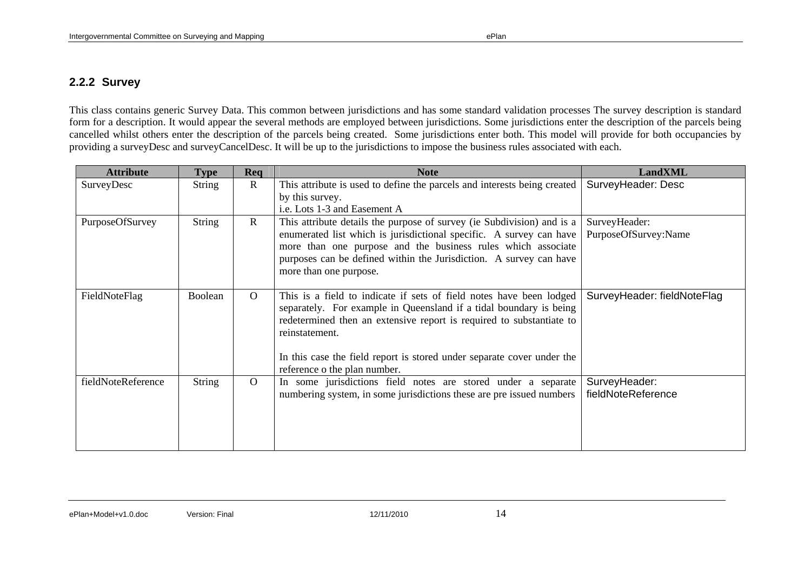#### **2.2.2 Survey**

This class contains generic Survey Data. This common between jurisdictions and has some standard validation processes The survey description is standard form for a description. It would appear the several methods are employed between jurisdictions. Some jurisdictions enter the description of the parcels being cancelled whilst others enter the description of the parcels being created. Some jurisdictions enter both. This model will provide for both occupancies by providing a surveyDesc and surveyCancelDesc. It will be up to the jurisdictions to impose the business rules associated with each.

| <b>Attribute</b>   | <b>Type</b>   | Req            | <b>Note</b>                                                                                                                                                                                                                                                                                                                                   | <b>LandXML</b>                        |
|--------------------|---------------|----------------|-----------------------------------------------------------------------------------------------------------------------------------------------------------------------------------------------------------------------------------------------------------------------------------------------------------------------------------------------|---------------------------------------|
| SurveyDesc         | String        | $\mathbf R$    | This attribute is used to define the parcels and interests being created<br>by this survey.<br>i.e. Lots 1-3 and Easement A                                                                                                                                                                                                                   | SurveyHeader: Desc                    |
| PurposeOfSurvey    | String        | $\mathbf R$    | This attribute details the purpose of survey (ie Subdivision) and is a<br>enumerated list which is jurisdictional specific. A survey can have<br>more than one purpose and the business rules which associate<br>purposes can be defined within the Jurisdiction. A survey can have<br>more than one purpose.                                 | SurveyHeader:<br>PurposeOfSurvey:Name |
| FieldNoteFlag      | Boolean       | $\overline{O}$ | This is a field to indicate if sets of field notes have been lodged<br>separately. For example in Queensland if a tidal boundary is being<br>redetermined then an extensive report is required to substantiate to<br>reinstatement.<br>In this case the field report is stored under separate cover under the<br>reference o the plan number. | SurveyHeader: fieldNoteFlag           |
| fieldNoteReference | <b>String</b> | $\Omega$       | In some jurisdictions field notes are stored under a separate<br>numbering system, in some jurisdictions these are pre issued numbers                                                                                                                                                                                                         | SurveyHeader:<br>fieldNoteReference   |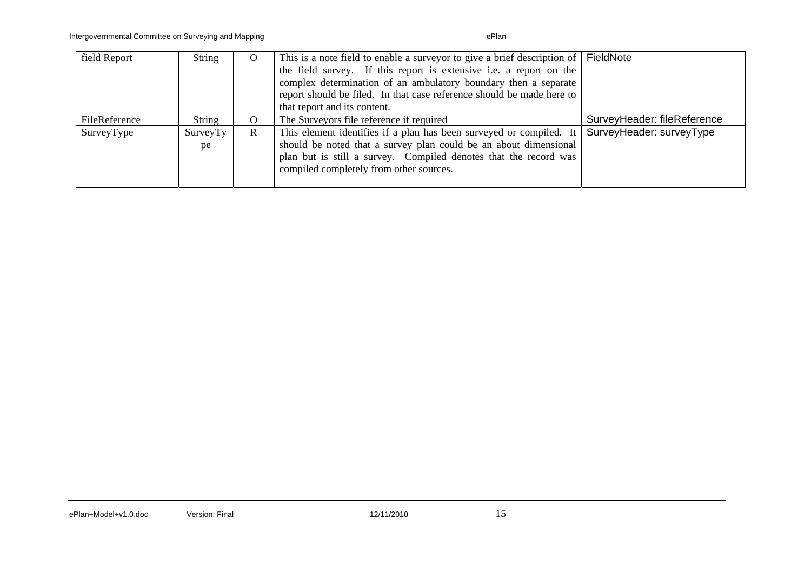| field Report  | <b>String</b>  | $\Omega$ | This is a note field to enable a surveyor to give a brief description of   FieldNote<br>the field survey. If this report is extensive i.e. a report on the<br>complex determination of an ambulatory boundary then a separate<br>report should be filed. In that case reference should be made here to<br>that report and its content. |                             |
|---------------|----------------|----------|----------------------------------------------------------------------------------------------------------------------------------------------------------------------------------------------------------------------------------------------------------------------------------------------------------------------------------------|-----------------------------|
| FileReference | String         |          | The Surveyors file reference if required                                                                                                                                                                                                                                                                                               | SurveyHeader: fileReference |
| SurveyType    | SurveyTy<br>pe | R        | This element identifies if a plan has been surveyed or compiled. It<br>should be noted that a survey plan could be an about dimensional<br>plan but is still a survey. Compiled denotes that the record was<br>compiled completely from other sources.                                                                                 | SurveyHeader: surveyType    |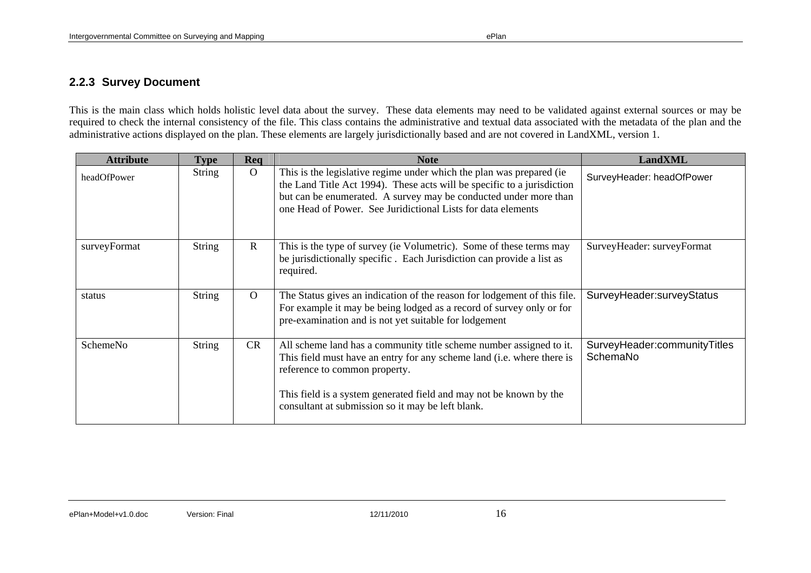#### **2.2.3 Survey Document**

This is the main class which holds holistic level data about the survey. These data elements may need to be validated against external sources or may be required to check the internal consistency of the file. This class contains the administrative and textual data associated with the metadata of the plan and the administrative actions displayed on the plan. These elements are largely jurisdictionally based and are not covered in LandXML, version 1.

| <b>Attribute</b> | <b>Type</b>   | Req            | <b>Note</b>                                                                                                                                                                                                                                                                         | <b>LandXML</b>                           |
|------------------|---------------|----------------|-------------------------------------------------------------------------------------------------------------------------------------------------------------------------------------------------------------------------------------------------------------------------------------|------------------------------------------|
| headOfPower      | <b>String</b> | $\Omega$       | This is the legislative regime under which the plan was prepared (ie<br>the Land Title Act 1994). These acts will be specific to a jurisdiction<br>but can be enumerated. A survey may be conducted under more than<br>one Head of Power. See Juridictional Lists for data elements | SurveyHeader: headOfPower                |
| surveyFormat     | <b>String</b> | $\mathbf{R}$   | This is the type of survey (ie Volumetric). Some of these terms may<br>be jurisdictionally specific. Each Jurisdiction can provide a list as<br>required.                                                                                                                           | SurveyHeader: surveyFormat               |
| status           | <b>String</b> | $\overline{O}$ | The Status gives an indication of the reason for lodgement of this file.<br>For example it may be being lodged as a record of survey only or for<br>pre-examination and is not yet suitable for lodgement                                                                           | SurveyHeader:surveyStatus                |
| SchemeNo         | <b>String</b> | CR             | All scheme land has a community title scheme number assigned to it.<br>This field must have an entry for any scheme land (i.e. where there is<br>reference to common property.                                                                                                      | SurveyHeader:communityTitles<br>SchemaNo |
|                  |               |                | This field is a system generated field and may not be known by the<br>consultant at submission so it may be left blank.                                                                                                                                                             |                                          |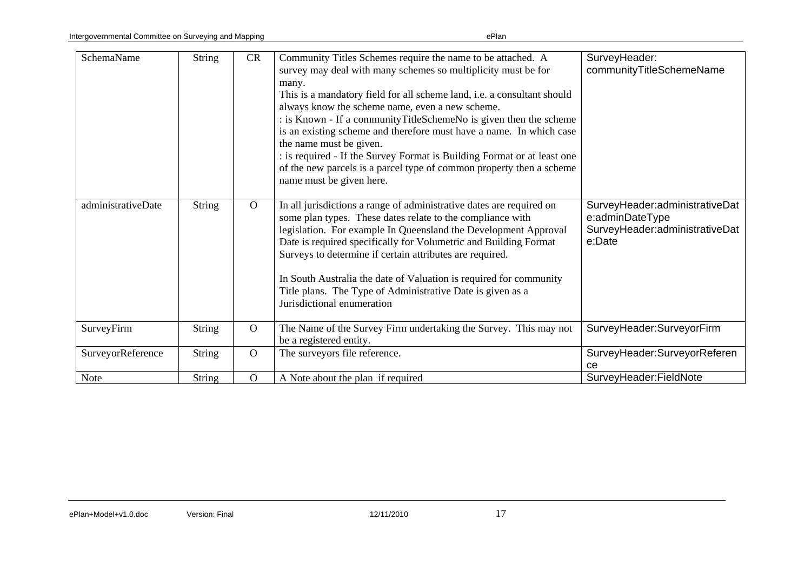| SchemaName         | String        | CR             | Community Titles Schemes require the name to be attached. A<br>survey may deal with many schemes so multiplicity must be for<br>many.<br>This is a mandatory field for all scheme land, i.e. a consultant should<br>always know the scheme name, even a new scheme.<br>: is Known - If a community TitleSchemeNo is given then the scheme<br>is an existing scheme and therefore must have a name. In which case<br>the name must be given.<br>: is required - If the Survey Format is Building Format or at least one<br>of the new parcels is a parcel type of common property then a scheme<br>name must be given here. | SurveyHeader:<br>communityTitleSchemeName                                                     |
|--------------------|---------------|----------------|----------------------------------------------------------------------------------------------------------------------------------------------------------------------------------------------------------------------------------------------------------------------------------------------------------------------------------------------------------------------------------------------------------------------------------------------------------------------------------------------------------------------------------------------------------------------------------------------------------------------------|-----------------------------------------------------------------------------------------------|
| administrativeDate | String        | $\overline{O}$ | In all jurisdictions a range of administrative dates are required on<br>some plan types. These dates relate to the compliance with<br>legislation. For example In Queensland the Development Approval<br>Date is required specifically for Volumetric and Building Format<br>Surveys to determine if certain attributes are required.<br>In South Australia the date of Valuation is required for community<br>Title plans. The Type of Administrative Date is given as a<br>Jurisdictional enumeration                                                                                                                    | SurveyHeader:administrativeDat<br>e:adminDateType<br>SurveyHeader:administrativeDat<br>e:Date |
| SurveyFirm         | <b>String</b> | $\mathbf{O}$   | The Name of the Survey Firm undertaking the Survey. This may not<br>be a registered entity.                                                                                                                                                                                                                                                                                                                                                                                                                                                                                                                                | SurveyHeader:SurveyorFirm                                                                     |
| SurveyorReference  | <b>String</b> | $\overline{O}$ | The surveyors file reference.                                                                                                                                                                                                                                                                                                                                                                                                                                                                                                                                                                                              | SurveyHeader:SurveyorReferen<br>ce                                                            |
| <b>Note</b>        | <b>String</b> | $\overline{O}$ | A Note about the plan if required                                                                                                                                                                                                                                                                                                                                                                                                                                                                                                                                                                                          | SurveyHeader:FieldNote                                                                        |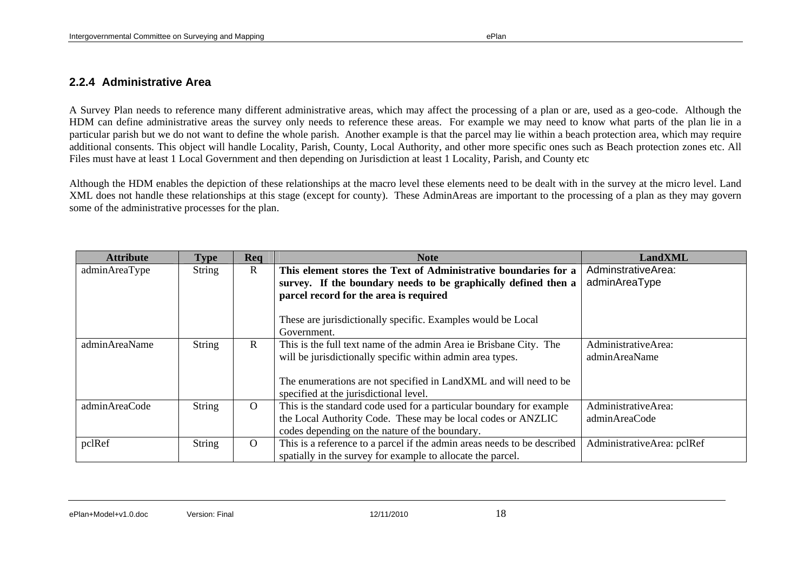#### **2.2.4 Administrative Area**

A Survey Plan needs to reference many different administrative areas, which may affect the processing of a plan or are, used as a geo-code. Although the HDM can define administrative areas the survey only needs to reference these areas. For example we may need to know what parts of the plan lie in a particular parish but we do not want to define the whole parish. Another example is that the parcel may lie within a beach protection area, which may require additional consents. This object will handle Locality, Parish, County, Local Authority, and other more specific ones such as Beach protection zones etc. All Files must have at least 1 Local Government and then depending on Jurisdiction at least 1 Locality, Parish, and County etc

Although the HDM enables the depiction of these relationships at the macro level these elements need to be dealt with in the survey at the micro level. Land XML does not handle these relationships at this stage (except for county). These AdminAreas are important to the processing of a plan as they may govern some of the administrative processes for the plan.

| <b>Attribute</b> | <b>Type</b>   | Req            | <b>Note</b>                                                              | <b>LandXML</b>             |
|------------------|---------------|----------------|--------------------------------------------------------------------------|----------------------------|
| adminAreaType    | <b>String</b> | $\mathbf{R}$   | This element stores the Text of Administrative boundaries for a          | AdminstrativeArea:         |
|                  |               |                | survey. If the boundary needs to be graphically defined then a           | adminAreaType              |
|                  |               |                | parcel record for the area is required                                   |                            |
|                  |               |                |                                                                          |                            |
|                  |               |                | These are jurisdictionally specific. Examples would be Local             |                            |
|                  |               |                | Government.                                                              |                            |
| adminAreaName    | <b>String</b> | $\mathbf{R}$   | This is the full text name of the admin Area ie Brisbane City. The       | AdministrativeArea:        |
|                  |               |                | will be jurisdictionally specific within admin area types.               | adminAreaName              |
|                  |               |                |                                                                          |                            |
|                  |               |                | The enumerations are not specified in LandXML and will need to be        |                            |
|                  |               |                | specified at the jurisdictional level.                                   |                            |
| adminAreaCode    | <b>String</b> | $\Omega$       | This is the standard code used for a particular boundary for example     | AdministrativeArea:        |
|                  |               |                | the Local Authority Code. These may be local codes or ANZLIC             | adminAreaCode              |
|                  |               |                | codes depending on the nature of the boundary.                           |                            |
| pclRef           | <b>String</b> | $\overline{O}$ | This is a reference to a parcel if the admin areas needs to be described | AdministrativeArea: pclRef |
|                  |               |                | spatially in the survey for example to allocate the parcel.              |                            |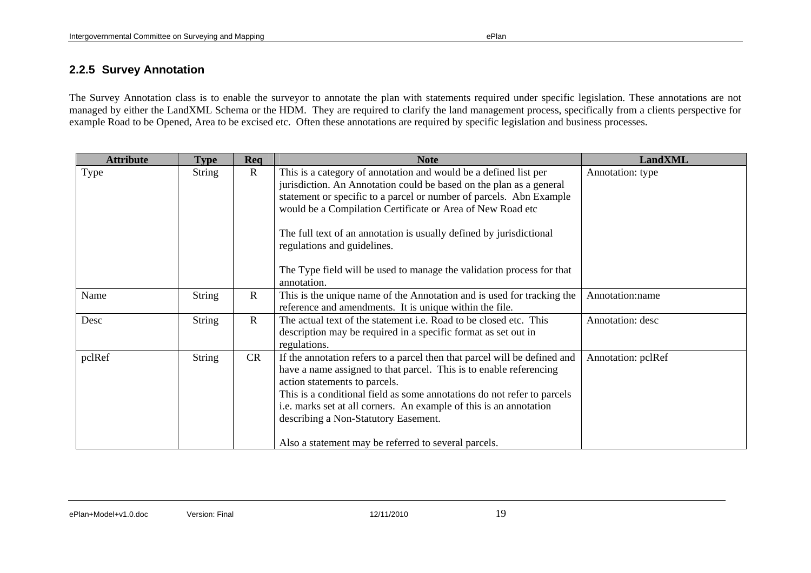#### **2.2.5 Survey Annotation**

The Survey Annotation class is to enable the surveyor to annotate the plan with statements required under specific legislation. These annotations are not managed by either the LandXML Schema or the HDM. They are required to clarify the land management process, specifically from a clients perspective for example Road to be Opened, Area to be excised etc. Often these annotations are required by specific legislation and business processes.

| <b>Attribute</b> | <b>Type</b>   | Req         | <b>Note</b>                                                                                                                                                                                                                                                                                                                                                                                                                                                 | <b>LandXML</b>     |
|------------------|---------------|-------------|-------------------------------------------------------------------------------------------------------------------------------------------------------------------------------------------------------------------------------------------------------------------------------------------------------------------------------------------------------------------------------------------------------------------------------------------------------------|--------------------|
| Type             | <b>String</b> | $\mathbf R$ | This is a category of annotation and would be a defined list per<br>jurisdiction. An Annotation could be based on the plan as a general<br>statement or specific to a parcel or number of parcels. Abn Example<br>would be a Compilation Certificate or Area of New Road etc<br>The full text of an annotation is usually defined by jurisdictional<br>regulations and guidelines.<br>The Type field will be used to manage the validation process for that | Annotation: type   |
|                  |               |             | annotation.                                                                                                                                                                                                                                                                                                                                                                                                                                                 |                    |
| Name             | <b>String</b> | $\mathbf R$ | This is the unique name of the Annotation and is used for tracking the<br>reference and amendments. It is unique within the file.                                                                                                                                                                                                                                                                                                                           | Annotation:name    |
| Desc             | <b>String</b> | $\mathbf R$ | The actual text of the statement <i>i.e.</i> Road to be closed etc. This<br>description may be required in a specific format as set out in<br>regulations.                                                                                                                                                                                                                                                                                                  | Annotation: desc   |
| pclRef           | String        | <b>CR</b>   | If the annotation refers to a parcel then that parcel will be defined and<br>have a name assigned to that parcel. This is to enable referencing<br>action statements to parcels.<br>This is a conditional field as some annotations do not refer to parcels<br>i.e. marks set at all corners. An example of this is an annotation<br>describing a Non-Statutory Easement.<br>Also a statement may be referred to several parcels.                           | Annotation: pclRef |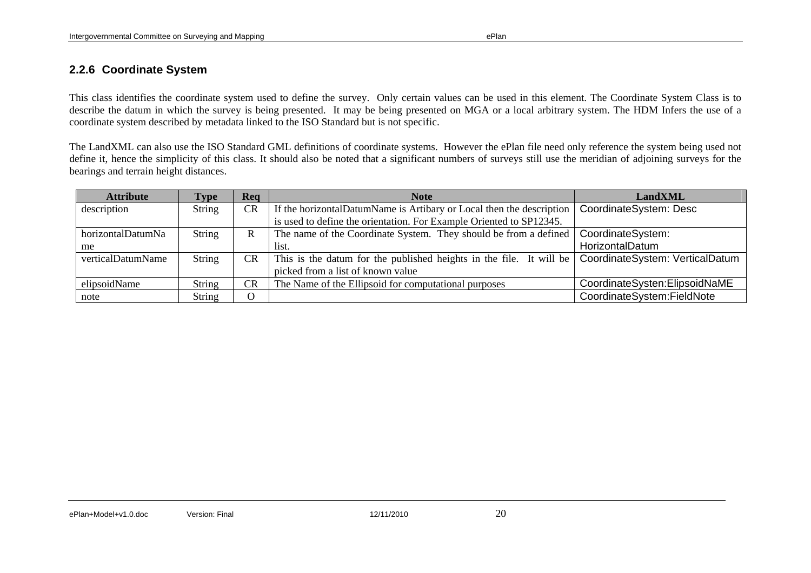#### **2.2.6 Coordinate System**

This class identifies the coordinate system used to define the survey. Only certain values can be used in this element. The Coordinate System Class is to describe the datum in which the survey is being presented. It may be being presented on MGA or a local arbitrary system. The HDM Infers the use of a coordinate system described by metadata linked to the ISO Standard but is not specific.

The LandXML can also use the ISO Standard GML definitions of coordinate systems. However the ePlan file need only reference the system being used not define it, hence the simplicity of this class. It should also be noted that a significant numbers of surveys still use the meridian of adjoining surveys for the bearings and terrain height distances.

| <b>Attribute</b>  | <b>Type</b>   | Rea       | <b>Note</b>                                                          | LandXML                         |
|-------------------|---------------|-----------|----------------------------------------------------------------------|---------------------------------|
| description       | String        | CR        | If the horizontalDatumName is Artibary or Local then the description | CoordinateSystem: Desc          |
|                   |               |           | is used to define the orientation. For Example Oriented to SP12345.  |                                 |
| horizontalDatumNa | <b>String</b> | R         | The name of the Coordinate System. They should be from a defined     | CoordinateSystem:               |
| me                |               |           | list.                                                                | HorizontalDatum                 |
| verticalDatumName | <b>String</b> | CR        | This is the datum for the published heights in the file. It will be  | CoordinateSystem: VerticalDatum |
|                   |               |           | picked from a list of known value                                    |                                 |
| elipsoidName      | <b>String</b> | <b>CR</b> | The Name of the Ellipsoid for computational purposes                 | CoordinateSysten:ElipsoidNaME   |
| note              | <b>String</b> | $\Omega$  |                                                                      | CoordinateSystem:FieldNote      |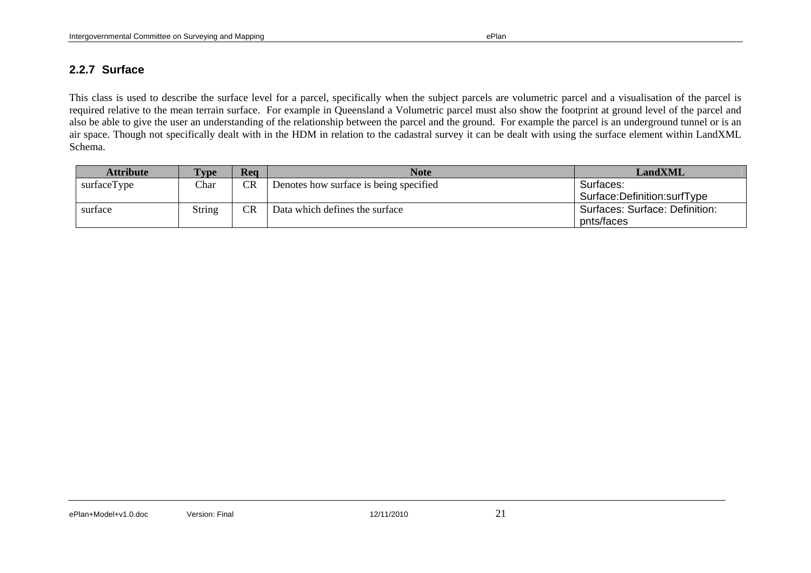#### **2.2.7 Surface**

This class is used to describe the surface level for a parcel, specifically when the subject parcels are volumetric parcel and a visualisation of the parcel is required relative to the mean terrain surface. For example in Queensland a Volumetric parcel must also show the footprint at ground level of the parcel and also be able to give the user an understanding of the relationship between the parcel and the ground. For example the parcel is an underground tunnel or is an air space. Though not specifically dealt with in the HDM in relation to the cadastral survey it can be dealt with using the surface element within LandXML Schema.

| <b>Attribute</b> | <b>Type</b> | Rea       | <b>Note</b>                            | <b>LandXML</b>                 |
|------------------|-------------|-----------|----------------------------------------|--------------------------------|
| surfaceType      | <b>Char</b> | <b>CR</b> | Denotes how surface is being specified | Surfaces:                      |
|                  |             |           |                                        | Surface: Definition: surfType  |
| surface          | String      | <b>CR</b> | Data which defines the surface         | Surfaces: Surface: Definition: |
|                  |             |           |                                        | pnts/faces                     |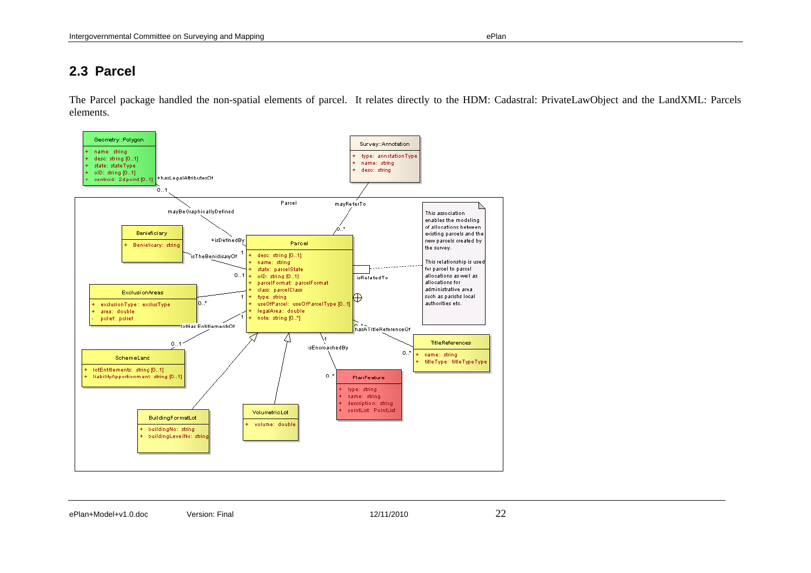## **2.3 Parcel**

The Parcel package handled the non-spatial elements of parcel. It relates directly to the HDM: Cadastral: PrivateLawObject and the LandXML: Parcels elements.

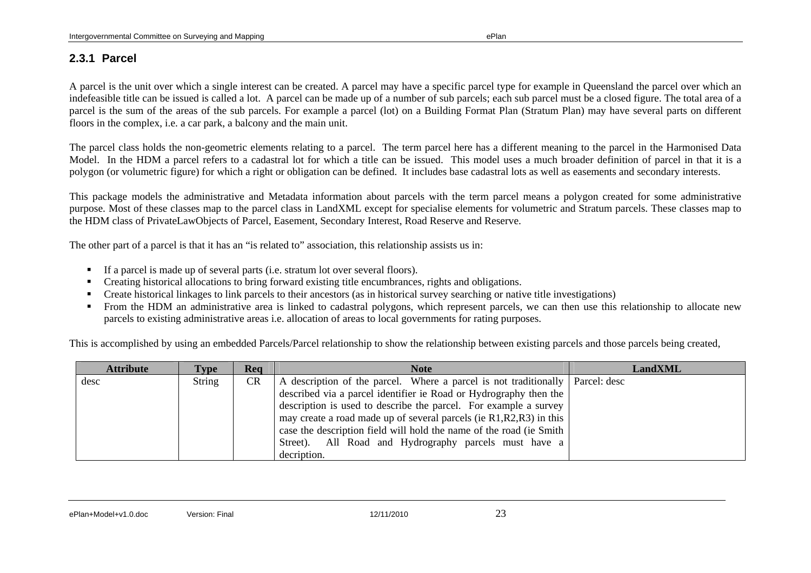#### **2.3.1 Parcel**

A parcel is the unit over which a single interest can be created. A parcel may have a specific parcel type for example in Queensland the parcel over which an indefeasible title can be issued is called a lot. A parcel can be made up of a number of sub parcels; each sub parcel must be a closed figure. The total area of a parcel is the sum of the areas of the sub parcels. For example a parcel (lot) on a Building Format Plan (Stratum Plan) may have several parts on different floors in the complex, i.e. a car park, a balcony and the main unit.

The parcel class holds the non-geometric elements relating to a parcel. The term parcel here has a different meaning to the parcel in the Harmonised Data Model. In the HDM a parcel refers to a cadastral lot for which a title can be issued. This model uses a much broader definition of parcel in that it is a polygon (or volumetric figure) for which a right or obligation can be defined. It includes base cadastral lots as well as easements and secondary interests.

This package models the administrative and Metadata information about parcels with the term parcel means a polygon created for some administrative purpose. Most of these classes map to the parcel class in LandXML except for specialise elements for volumetric and Stratum parcels. These classes map to the HDM class of PrivateLawObjects of Parcel, Easement, Secondary Interest, Road Reserve and Reserve.

The other part of a parcel is that it has an "is related to" association, this relationship assists us in:

- If a parcel is made up of several parts (i.e. stratum lot over several floors).
- **Creating historical allocations to bring forward existing title encumbrances, rights and obligations.**
- **Create historical linkages to link parcels to their ancestors (as in historical survey searching or native title investigations)**
- $\mathbf{u}$  . From the HDM an administrative area is linked to cadastral polygons, which represent parcels, we can then use this relationship to allocate new parcels to existing administrative areas i.e. allocation of areas to local governments for rating purposes.

This is accomplished by using an embedded Parcels/Parcel relationship to show the relationship between existing parcels and those parcels being created,

| <b>Attribute</b> | Type   | <b>Req</b> | <b>Note</b>                                                                     | LandXML |
|------------------|--------|------------|---------------------------------------------------------------------------------|---------|
| desc             | String | CR         | A description of the parcel. Where a parcel is not traditionally   Parcel: desc |         |
|                  |        |            | described via a parcel identifier ie Road or Hydrography then the               |         |
|                  |        |            | description is used to describe the parcel. For example a survey                |         |
|                  |        |            | may create a road made up of several parcels (ie $R1, R2, R3$ ) in this         |         |
|                  |        |            | case the description field will hold the name of the road (ie Smith             |         |
|                  |        |            | Street). All Road and Hydrography parcels must have a                           |         |
|                  |        |            | decription.                                                                     |         |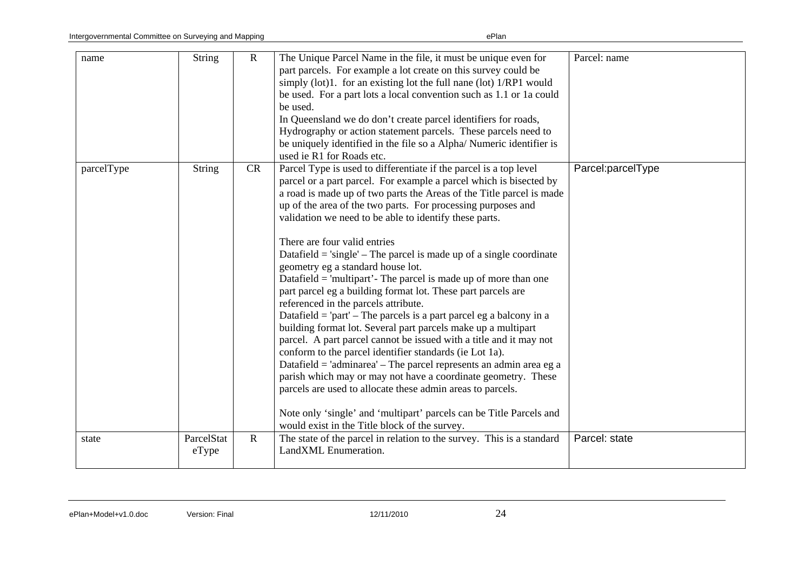| name       | <b>String</b> | $\mathbf R$ | The Unique Parcel Name in the file, it must be unique even for<br>part parcels. For example a lot create on this survey could be<br>simply (lot)1. for an existing lot the full nane (lot) 1/RP1 would<br>be used. For a part lots a local convention such as 1.1 or 1a could<br>be used.<br>In Queensland we do don't create parcel identifiers for roads,<br>Hydrography or action statement parcels. These parcels need to<br>be uniquely identified in the file so a Alpha/Numeric identifier is<br>used ie R1 for Roads etc.                                                                                                                                                                                                                                                                                                                                                                                                                                                                                                                                                                                                                                                                                                                                         | Parcel: name      |
|------------|---------------|-------------|---------------------------------------------------------------------------------------------------------------------------------------------------------------------------------------------------------------------------------------------------------------------------------------------------------------------------------------------------------------------------------------------------------------------------------------------------------------------------------------------------------------------------------------------------------------------------------------------------------------------------------------------------------------------------------------------------------------------------------------------------------------------------------------------------------------------------------------------------------------------------------------------------------------------------------------------------------------------------------------------------------------------------------------------------------------------------------------------------------------------------------------------------------------------------------------------------------------------------------------------------------------------------|-------------------|
| parcelType | String        | CR          | Parcel Type is used to differentiate if the parcel is a top level<br>parcel or a part parcel. For example a parcel which is bisected by<br>a road is made up of two parts the Areas of the Title parcel is made<br>up of the area of the two parts. For processing purposes and<br>validation we need to be able to identify these parts.<br>There are four valid entries<br>Datafield = 'single' $-$ The parcel is made up of a single coordinate<br>geometry eg a standard house lot.<br>Datafield = 'multipart' - The parcel is made up of more than one<br>part parcel eg a building format lot. These part parcels are<br>referenced in the parcels attribute.<br>Datafield = 'part' - The parcels is a part parcel eg a balcony in a<br>building format lot. Several part parcels make up a multipart<br>parcel. A part parcel cannot be issued with a title and it may not<br>conform to the parcel identifier standards (ie Lot 1a).<br>Datafield = 'adminarea' – The parcel represents an admin area eg a<br>parish which may or may not have a coordinate geometry. These<br>parcels are used to allocate these admin areas to parcels.<br>Note only 'single' and 'multipart' parcels can be Title Parcels and<br>would exist in the Title block of the survey. | Parcel:parcelType |
| state      | ParcelStat    | $\mathbf R$ | The state of the parcel in relation to the survey. This is a standard                                                                                                                                                                                                                                                                                                                                                                                                                                                                                                                                                                                                                                                                                                                                                                                                                                                                                                                                                                                                                                                                                                                                                                                                     | Parcel: state     |
|            | eType         |             | LandXML Enumeration.                                                                                                                                                                                                                                                                                                                                                                                                                                                                                                                                                                                                                                                                                                                                                                                                                                                                                                                                                                                                                                                                                                                                                                                                                                                      |                   |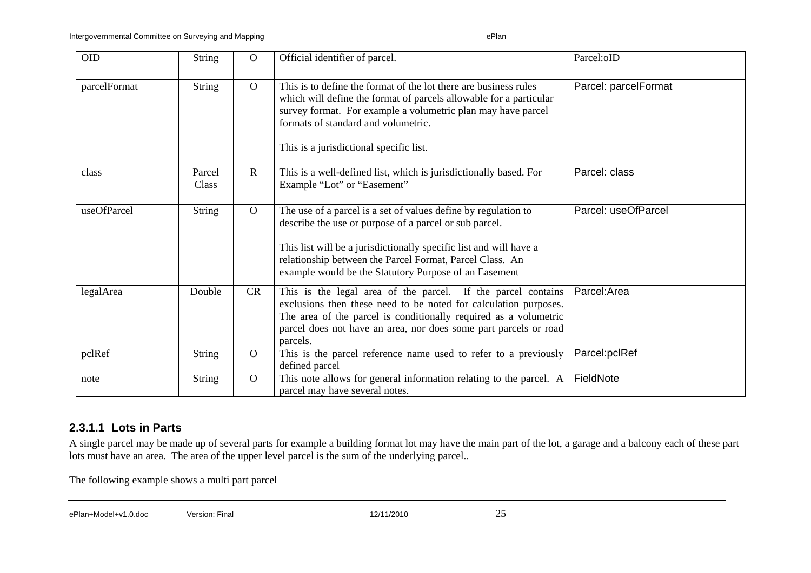| OID          | <b>String</b>   | $\overline{O}$ | Official identifier of parcel.                                                                                                                                                                                                                                                                                      | Parcel:oID           |
|--------------|-----------------|----------------|---------------------------------------------------------------------------------------------------------------------------------------------------------------------------------------------------------------------------------------------------------------------------------------------------------------------|----------------------|
| parcelFormat | String          | $\Omega$       | This is to define the format of the lot there are business rules<br>which will define the format of parcels allowable for a particular<br>survey format. For example a volumetric plan may have parcel<br>formats of standard and volumetric.<br>This is a jurisdictional specific list.                            | Parcel: parcelFormat |
| class        | Parcel<br>Class | $\mathbf R$    | This is a well-defined list, which is jurisdictionally based. For<br>Example "Lot" or "Easement"                                                                                                                                                                                                                    | Parcel: class        |
| useOfParcel  | <b>String</b>   | $\overline{O}$ | The use of a parcel is a set of values define by regulation to<br>describe the use or purpose of a parcel or sub parcel.<br>This list will be a jurisdictionally specific list and will have a<br>relationship between the Parcel Format, Parcel Class. An<br>example would be the Statutory Purpose of an Easement | Parcel: useOfParcel  |
| legalArea    | Double          | CR             | This is the legal area of the parcel. If the parcel contains<br>exclusions then these need to be noted for calculation purposes.<br>The area of the parcel is conditionally required as a volumetric<br>parcel does not have an area, nor does some part parcels or road<br>parcels.                                | Parcel: Area         |
| pclRef       | <b>String</b>   | $\overline{O}$ | This is the parcel reference name used to refer to a previously<br>defined parcel                                                                                                                                                                                                                                   | Parcel:pclRef        |
| note         | <b>String</b>   | $\overline{O}$ | This note allows for general information relating to the parcel. A<br>parcel may have several notes.                                                                                                                                                                                                                | FieldNote            |

### **2.3.1.1 Lots in Parts**

A single parcel may be made up of several parts for example a building format lot may have the main part of the lot, a garage and a balcony each of these part lots must have an area. The area of the upper level parcel is the sum of the underlying parcel..

The following example shows a multi part parcel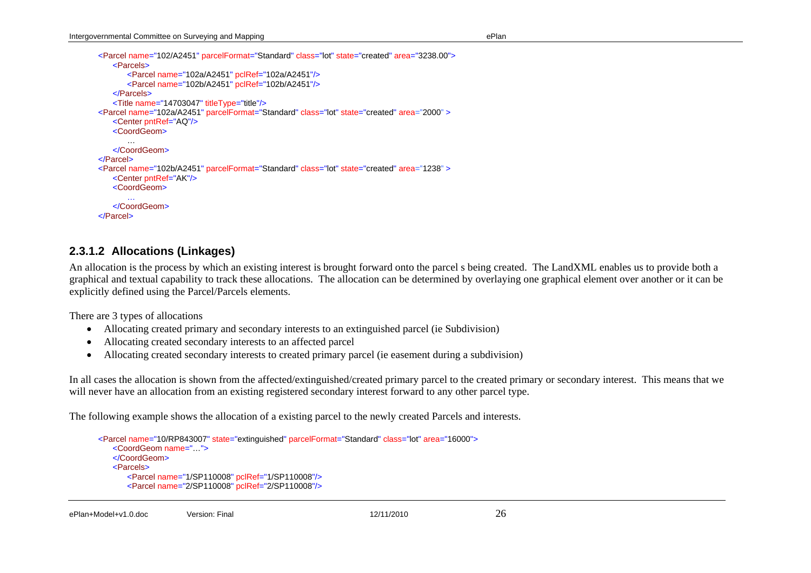```
<Parcel name="102/A2451" parcelFormat="Standard" class="lot" state="created" area="3238.00">
   <Parcels><Parcel name="102a/A2451" pclRef="102a/A2451"/>
       <Parcel name="102b/A2451" pclRef="102b/A2451"/>
   </Parcels><Title name="14703047" titleType="title"/>
<Parcel name="102a/A2451" parcelFormat="Standard" class="lot" state="created" area="2000" >
   <Center pntRef="AQ"/>
   <CoordGeom> … </CoordGeom></Parcel><Parcel name="102b/A2451" parcelFormat="Standard" class="lot" state="created" area="1238" >
   <Center pntRef="AK"/>
   <CoordGeom>…</CoordGeom></Parcel>
```
#### **2.3.1.2 Allocations (Linkages)**

An allocation is the process by which an existing interest is brought forward onto the parcel s being created. The LandXML enables us to provide both a graphical and textual capability to track these allocations. The allocation can be determined by overlaying one graphical element over another or it can be explicitly defined using the Parcel/Parcels elements.

There are 3 types of allocations

- Allocating created primary and secondary interests to an extinguished parcel (ie Subdivision)
- $\bullet$ Allocating created secondary interests to an affected parcel
- $\bullet$ Allocating created secondary interests to created primary parcel (ie easement during a subdivision)

In all cases the allocation is shown from the affected/extinguished/created primary parcel to the created primary or secondary interest. This means that we will never have an allocation from an existing registered secondary interest forward to any other parcel type.

The following example shows the allocation of a existing parcel to the newly created Parcels and interests.

```
<Parcel name="10/RP843007" state="extinguished" parcelFormat="Standard" class="lot" area="16000">
   <CoordGeom name="…"></CoordGeom><Parcels><Parcel name="1/SP110008" pclRef="1/SP110008"/>
       <Parcel name="2/SP110008" pclRef="2/SP110008"/>
```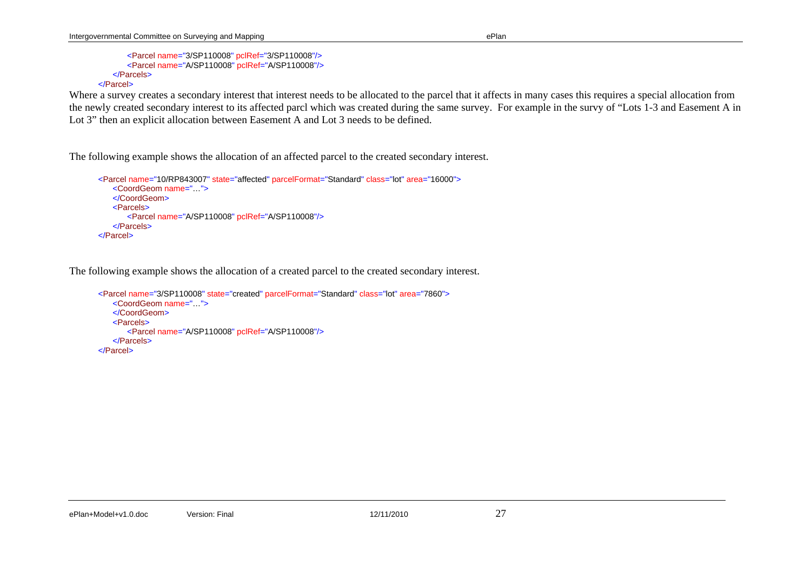```
<Parcel name="3/SP110008" pclRef="3/SP110008"/>
   <Parcel name="A/SP110008" pclRef="A/SP110008"/>
</Parcels>
```
</Parcel>

Where a survey creates a secondary interest that interest needs to be allocated to the parcel that it affects in many cases this requires a special allocation from the newly created secondary interest to its affected parcl which was created during the same survey. For example in the survy of "Lots 1-3 and Easement A in Lot 3" then an explicit allocation between Easement A and Lot 3 needs to be defined.

The following example shows the allocation of an affected parcel to the created secondary interest.

```
<Parcel name="10/RP843007" state="affected" parcelFormat="Standard" class="lot" area="16000">
   <CoordGeom name="…"></CoordGeom><Parcels><Parcel name="A/SP110008" pclRef="A/SP110008"/>
   </Parcels></Parcel>
```
The following example shows the allocation of a created parcel to the created secondary interest.

```
<Parcel name="3/SP110008" state="created" parcelFormat="Standard" class="lot" area="7860">
   <CoordGeom name="…"></CoordGeom><Parcels><Parcel name="A/SP110008" pclRef="A/SP110008"/>
   </Parcels></Parcel>
```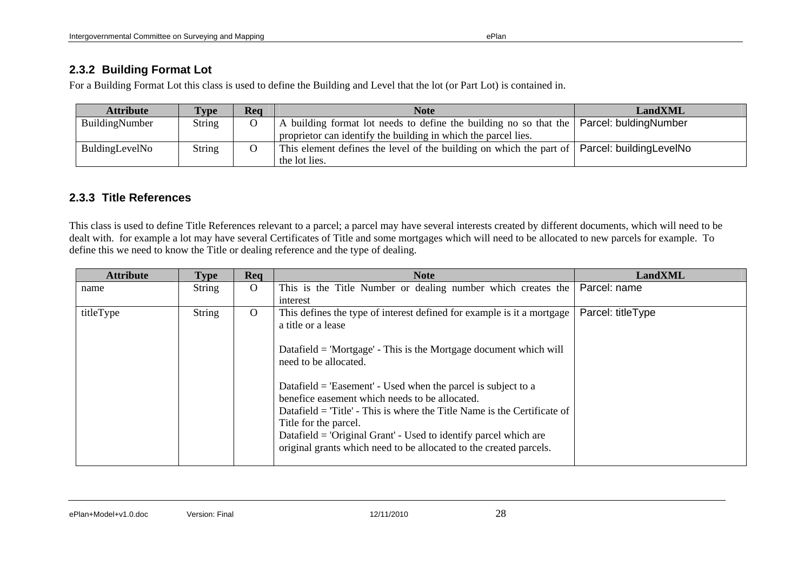#### **2.3.2 Building Format Lot**

For a Building Format Lot this class is used to define the Building and Level that the lot (or Part Lot) is contained in.

| <b>Attribute</b> | <b>Type</b>   | Rea | <b>Note</b>                                                                                    | LandXML               |
|------------------|---------------|-----|------------------------------------------------------------------------------------------------|-----------------------|
| BuildingNumber   | <b>String</b> | O.  | A building format lot needs to define the building no so that the                              | Parcel: buldingNumber |
|                  |               |     | proprietor can identify the building in which the parcel lies.                                 |                       |
| BuldingLevelNo   | <b>String</b> |     | This element defines the level of the building on which the part of   Parcel: building LevelNo |                       |
|                  |               |     | the lot lies.                                                                                  |                       |

#### **2.3.3 Title References**

This class is used to define Title References relevant to a parcel; a parcel may have several interests created by different documents, which will need to be dealt with. for example a lot may have several Certificates of Title and some mortgages which will need to be allocated to new parcels for example. To define this we need to know the Title or dealing reference and the type of dealing.

| <b>Attribute</b> | <b>Type</b>   | Req            | <b>Note</b>                                                                                                     | <b>LandXML</b>    |
|------------------|---------------|----------------|-----------------------------------------------------------------------------------------------------------------|-------------------|
| name             | <b>String</b> | $\overline{O}$ | This is the Title Number or dealing number which creates the                                                    | Parcel: name      |
|                  |               |                | interest                                                                                                        |                   |
| titleType        | <b>String</b> | $\Omega$       | This defines the type of interest defined for example is it a mortgage                                          | Parcel: titleType |
|                  |               |                | a title or a lease                                                                                              |                   |
|                  |               |                |                                                                                                                 |                   |
|                  |               |                | Datafield = 'Mortgage' - This is the Mortgage document which will                                               |                   |
|                  |               |                | need to be allocated.                                                                                           |                   |
|                  |               |                |                                                                                                                 |                   |
|                  |               |                | Datafield = 'Easement' - Used when the parcel is subject to a<br>benefice easement which needs to be allocated. |                   |
|                  |               |                |                                                                                                                 |                   |
|                  |               |                | Datafield = $Title'$ - This is where the Title Name is the Certificate of                                       |                   |
|                  |               |                | Title for the parcel.                                                                                           |                   |
|                  |               |                | Datafield $=$ 'Original Grant' - Used to identify parcel which are                                              |                   |
|                  |               |                | original grants which need to be allocated to the created parcels.                                              |                   |
|                  |               |                |                                                                                                                 |                   |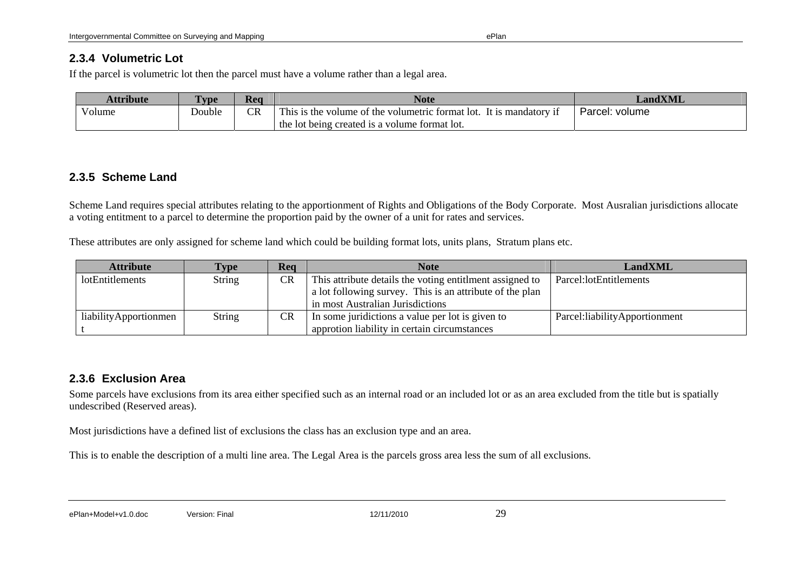#### **2.3.4 Volumetric Lot**

If the parcel is volumetric lot then the parcel must have a volume rather than a legal area.

| <b>A</b> tribute | $T_{VDE}$ | Rea                     | <b>Note</b>                                                            | LandXML        |
|------------------|-----------|-------------------------|------------------------------------------------------------------------|----------------|
| V olume          | Double    | $\mathbb{C} \mathsf{R}$ | This is the volume of the volumetric format lot.<br>It is mandatory if | Parcel: volume |
|                  |           |                         | the lot being created is a volume format lot.                          |                |

#### **2.3.5 Scheme Land**

Scheme Land requires special attributes relating to the apportionment of Rights and Obligations of the Body Corporate. Most Ausralian jurisdictions allocate a voting entitment to a parcel to determine the proportion paid by the owner of a unit for rates and services.

These attributes are only assigned for scheme land which could be building format lots, units plans, Stratum plans etc.

| <b>Attribute</b>      | <b>Type</b> | Rea       | <b>Note</b>                                              | LandXML                       |
|-----------------------|-------------|-----------|----------------------------------------------------------|-------------------------------|
| lotEntitlements       | String      | <b>CR</b> | This attribute details the voting entitlment assigned to | Parcel:lotEntitlements        |
|                       |             |           | a lot following survey. This is an attribute of the plan |                               |
|                       |             |           | in most Australian Jurisdictions                         |                               |
| liabilityApportionmen | String      | <b>CR</b> | In some juridictions a value per lot is given to         | Parcel:liabilityApportionment |
|                       |             |           | approtion liability in certain circumstances             |                               |

#### **2.3.6 Exclusion Area**

Some parcels have exclusions from its area either specified such as an internal road or an included lot or as an area excluded from the title but is spatially undescribed (Reserved areas).

Most jurisdictions have a defined list of exclusions the class has an exclusion type and an area.

This is to enable the description of a multi line area. The Legal Area is the parcels gross area less the sum of all exclusions.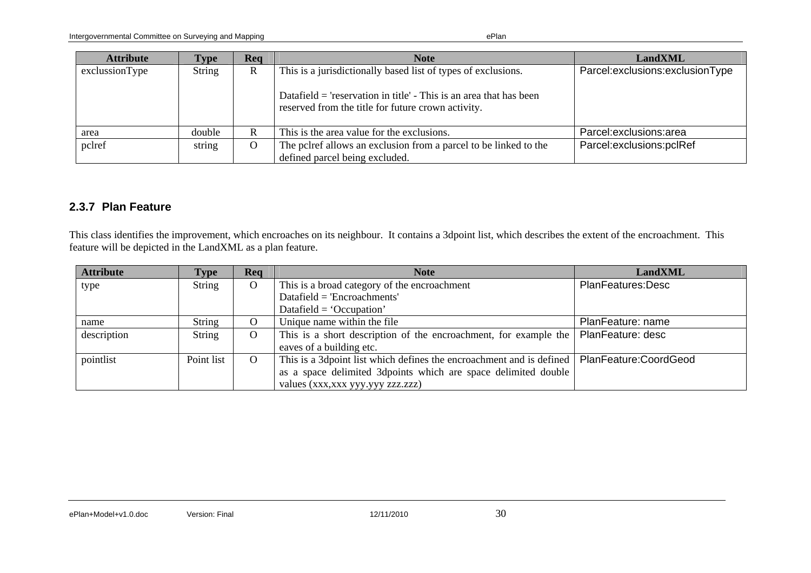| <b>Attribute</b> | <b>Type</b>   | Req      | <b>Note</b>                                                                                                                                                                                 | LandXML                           |
|------------------|---------------|----------|---------------------------------------------------------------------------------------------------------------------------------------------------------------------------------------------|-----------------------------------|
| exclussionType   | <b>String</b> | R        | This is a jurisdictionally based list of types of exclusions.<br>Datafield $=$ 'reservation in title' - This is an area that has been<br>reserved from the title for future crown activity. | Parcel: exclusions: exclusionType |
| area             | double        | R.       | This is the area value for the exclusions.                                                                                                                                                  | Parcel: exclusions: area          |
| pclref           | string        | $\Omega$ | The political flows an exclusion from a parcel to be linked to the<br>defined parcel being excluded.                                                                                        | Parcel: exclusions: pclRef        |

#### **2.3.7 Plan Feature**

This class identifies the improvement, which encroaches on its neighbour. It contains a 3dpoint list, which describes the extent of the encroachment. This feature will be depicted in the LandXML as a plan feature.

| <b>Attribute</b> | <b>Type</b>   | Rea      | <b>Note</b>                                                                             | LandXML               |
|------------------|---------------|----------|-----------------------------------------------------------------------------------------|-----------------------|
| type             | <b>String</b> | $\Omega$ | This is a broad category of the encroachment                                            | PlanFeatures:Desc     |
|                  |               |          | $\text{D} \text{atafield} = \text{'Encro} \text{ } \text{ } \text{ } \text{E} \text{.}$ |                       |
|                  |               |          | Datafield = 'Occupation'                                                                |                       |
| name             | <b>String</b> |          | Unique name within the file                                                             | PlanFeature: name     |
| description      | <b>String</b> | $\Omega$ | This is a short description of the encroachment, for example the                        | PlanFeature: desc     |
|                  |               |          | eaves of a building etc.                                                                |                       |
| pointlist        | Point list    | $\Omega$ | This is a 3dpoint list which defines the encroachment and is defined                    | PlanFeature:CoordGeod |
|                  |               |          | as a space delimited 3dpoints which are space delimited double                          |                       |
|                  |               |          | values (xxx, xxx yyy.yyy zzz.zzz)                                                       |                       |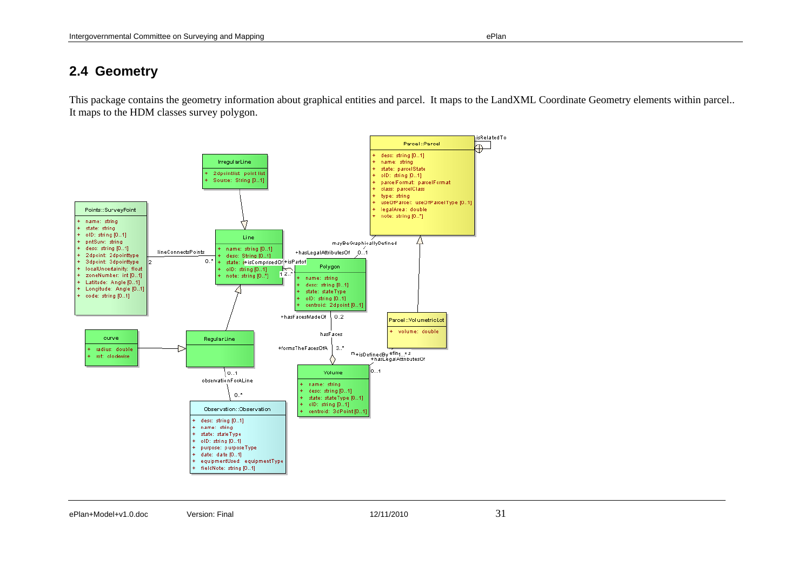## **2.4 Geometry**

This package contains the geometry information about graphical entities and parcel. It maps to the LandXML Coordinate Geometry elements within parcel.. It maps to the HDM classes survey polygon.

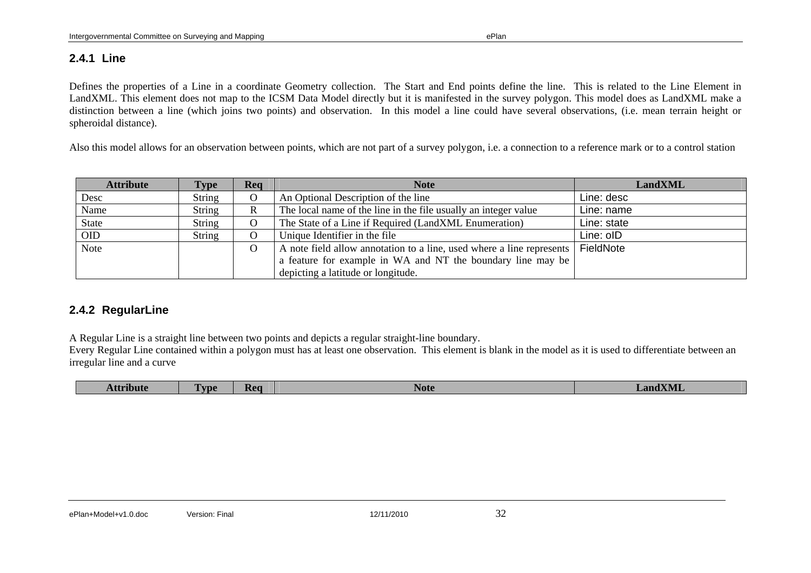#### **2.4.1 Line**

Defines the properties of a Line in a coordinate Geometry collection. The Start and End points define the line. This is related to the Line Element in LandXML. This element does not map to the ICSM Data Model directly but it is manifested in the survey polygon. This model does as LandXML make a distinction between a line (which joins two points) and observation. In this model a line could have several observations, (i.e. mean terrain height or spheroidal distance).

Also this model allows for an observation between points, which are not part of a survey polygon, i.e. a connection to a reference mark or to a control station

| <b>Attribute</b> | <b>Type</b> | Reg | <b>Note</b>                                                           | LandXML     |
|------------------|-------------|-----|-----------------------------------------------------------------------|-------------|
| Desc             | String      | O   | An Optional Description of the line                                   | Line: desc  |
| Name             | String      | R   | The local name of the line in the file usually an integer value       | Line: name  |
| <b>State</b>     | String      | Ο   | The State of a Line if Required (LandXML Enumeration)                 | Line: state |
| <b>OID</b>       | String      | O.  | Unique Identifier in the file                                         | Line: oID   |
| Note             |             | О   | A note field allow annotation to a line, used where a line represents | FieldNote   |
|                  |             |     | a feature for example in WA and NT the boundary line may be           |             |
|                  |             |     | depicting a latitude or longitude.                                    |             |

#### **2.4.2 RegularLine**

A Regular Line is a straight line between two points and depicts a regular straight-line boundary.

Every Regular Line contained within a polygon must has at least one observation. This element is blank in the model as it is used to differentiate between an irregular line and a curve

| $\bullet$<br>vibut.<br><b>Experience</b><br>$\sim$ $\sim$ $\sim$ | -Rec | Note | TSTR<br>- 'ANU A IVE. |
|------------------------------------------------------------------|------|------|-----------------------|
|------------------------------------------------------------------|------|------|-----------------------|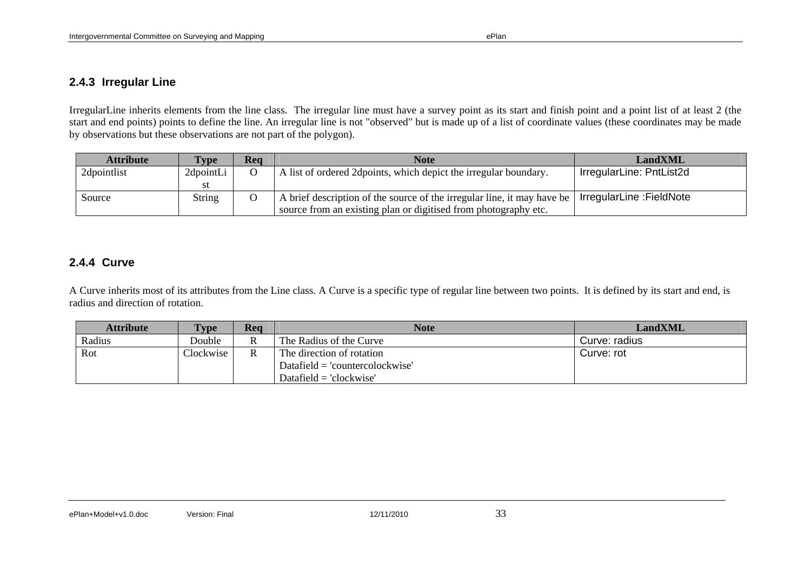#### **2.4.3 Irregular Line**

IrregularLine inherits elements from the line class. The irregular line must have a survey point as its start and finish point and a point list of at least 2 (the start and end points) points to define the line. An irregular line is not "observed" but is made up of a list of coordinate values (these coordinates may be made by observations but these observations are not part of the polygon).

| <b>Attribute</b> | <b>Type</b>   | Rea | <b>Note</b>                                                                                         | LandXML                  |
|------------------|---------------|-----|-----------------------------------------------------------------------------------------------------|--------------------------|
| 2dpointlist      | 2dpointLi     |     | A list of ordered 2 dpoints, which depict the irregular boundary.                                   | IrregularLine: PntList2d |
|                  | st            |     |                                                                                                     |                          |
| Source           | <b>String</b> |     | A brief description of the source of the irregular line, it may have be   IrregularLine : FieldNote |                          |
|                  |               |     | source from an existing plan or digitised from photography etc.                                     |                          |

#### **2.4.4 Curve**

A Curve inherits most of its attributes from the Line class. A Curve is a specific type of regular line between two points. It is defined by its start and end, is radius and direction of rotation.

| <b>Attribute</b> | <b>Type</b> | Req | <b>Note</b>                              | <b>LandXML</b> |
|------------------|-------------|-----|------------------------------------------|----------------|
| Radius           | Double      | n.  | The Radius of the Curve                  | Curve: radius  |
| Rot              | Clockwise   | R   | The direction of rotation                | Curve: rot     |
|                  |             |     | $\text{Datafield} = 'countercolockwise'$ |                |
|                  |             |     | $\text{Datafield} = \text{'clockwise'}$  |                |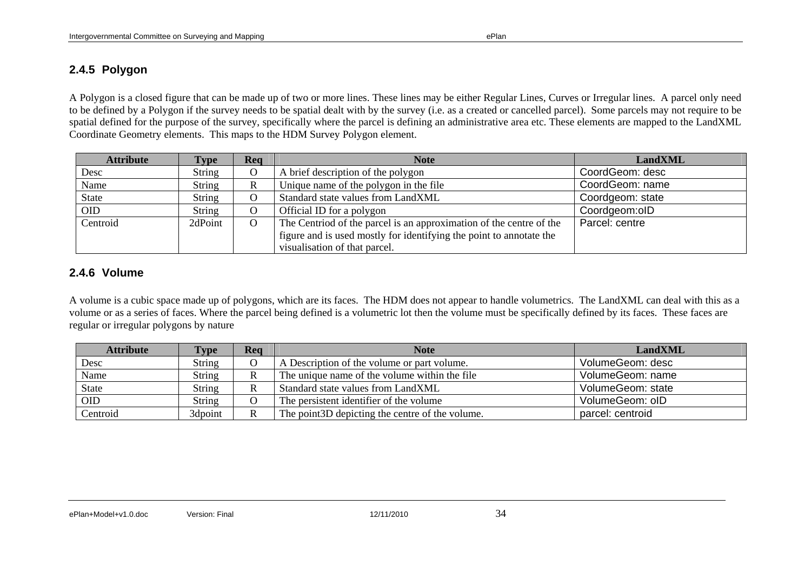#### **2.4.5 Polygon**

A Polygon is a closed figure that can be made up of two or more lines. These lines may be either Regular Lines, Curves or Irregular lines. A parcel only need to be defined by a Polygon if the survey needs to be spatial dealt with by the survey (i.e. as a created or cancelled parcel). Some parcels may not require to be spatial defined for the purpose of the survey, specifically where the parcel is defining an administrative area etc. These elements are mapped to the LandXML Coordinate Geometry elements. This maps to the HDM Survey Polygon element.

| <b>Attribute</b> | <b>Type</b>   | Req      | <b>Note</b>                                                         | LandXML          |
|------------------|---------------|----------|---------------------------------------------------------------------|------------------|
| Desc             | <b>String</b> | Ο        | A brief description of the polygon                                  | CoordGeom: desc  |
| Name             | <b>String</b> | R        | Unique name of the polygon in the file                              | CoordGeom: name  |
| <b>State</b>     | <b>String</b> | O        | Standard state values from LandXML                                  | Coordgeom: state |
| <b>OID</b>       | <b>String</b> | Ο        | Official ID for a polygon                                           | Coordgeom:olD    |
| Centroid         | 2dPoint       | $\Omega$ | The Centriod of the parcel is an approximation of the centre of the | Parcel: centre   |
|                  |               |          | figure and is used mostly for identifying the point to annotate the |                  |
|                  |               |          | visualisation of that parcel.                                       |                  |

#### **2.4.6 Volume**

A volume is a cubic space made up of polygons, which are its faces. The HDM does not appear to handle volumetrics. The LandXML can deal with this as a volume or as a series of faces. Where the parcel being defined is a volumetric lot then the volume must be specifically defined by its faces. These faces are regular or irregular polygons by nature

| <b>Attribute</b> | Type          | Req | <b>Note</b>                                      | LandXML           |
|------------------|---------------|-----|--------------------------------------------------|-------------------|
| Desc             | <b>String</b> |     | A Description of the volume or part volume.      | VolumeGeom: desc  |
| Name             | String        | R   | The unique name of the volume within the file    | VolumeGeom: name  |
| State            | String        | R   | Standard state values from LandXML               | VolumeGeom: state |
| <b>OID</b>       | String        |     | The persistent identifier of the volume          | VolumeGeom: oID   |
| Centroid         | 3dpoint       | R   | The point 3D depicting the centre of the volume. | parcel: centroid  |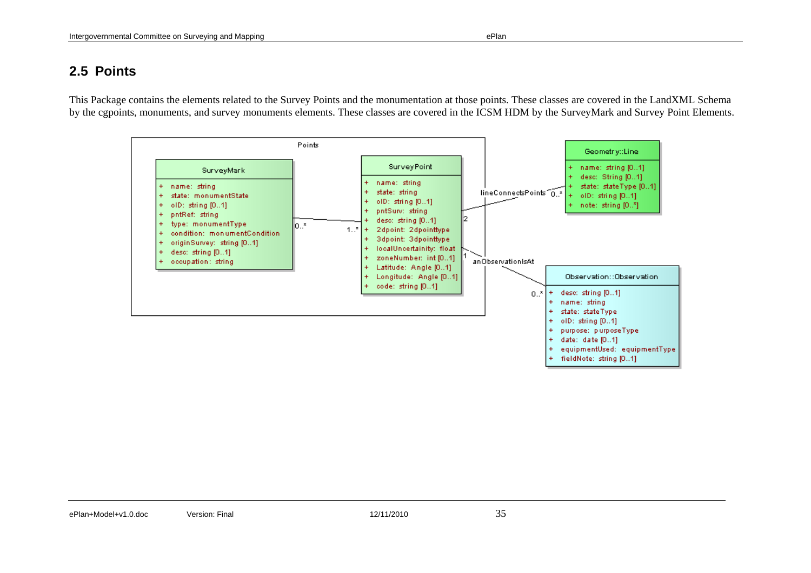



This Package contains the elements related to the Survey Points and the monumentation at those points. These classes are covered in the LandXML Schema by the cgpoints, monuments, and survey monuments elements. These classes are covered in the ICSM HDM by the SurveyMark and Survey Point Elements.



+ equipmentUsed: equipmentType

fieldNote: string [0..1]

 $\left| + \right|$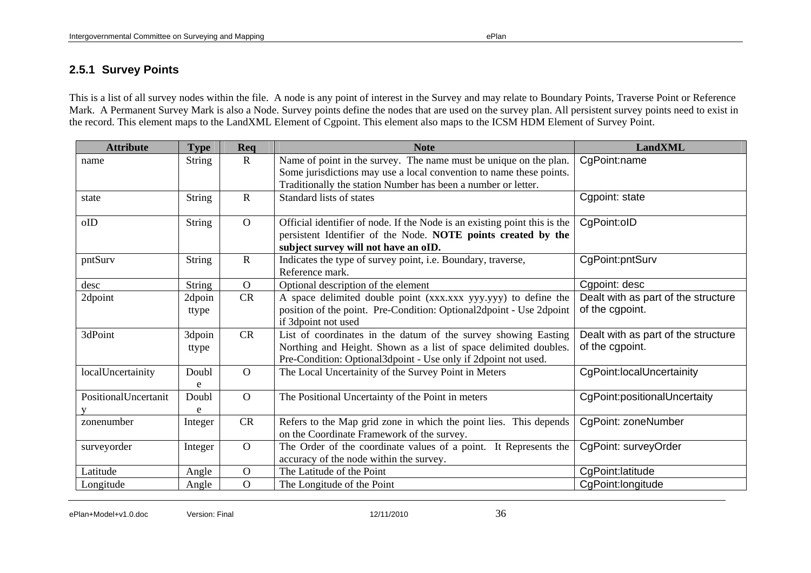#### **2.5.1 Survey Points**

This is a list of all survey nodes within the file. A node is any point of interest in the Survey and may relate to Boundary Points, Traverse Point or Reference Mark. A Permanent Survey Mark is also a Node. Survey points define the nodes that are used on the survey plan. All persistent survey points need to exist in the record. This element maps to the LandXML Element of Cgpoint. This element also maps to the ICSM HDM Element of Survey Point.

| <b>Attribute</b>     | <b>Type</b>   | Req            | <b>Note</b>                                                               | <b>LandXML</b>                      |
|----------------------|---------------|----------------|---------------------------------------------------------------------------|-------------------------------------|
| name                 | <b>String</b> | $\mathbf R$    | Name of point in the survey. The name must be unique on the plan.         | CgPoint:name                        |
|                      |               |                | Some jurisdictions may use a local convention to name these points.       |                                     |
|                      |               |                | Traditionally the station Number has been a number or letter.             |                                     |
| state                | <b>String</b> | $\mathbf R$    | Standard lists of states                                                  | Cgpoint: state                      |
| oID                  | <b>String</b> | $\overline{O}$ | Official identifier of node. If the Node is an existing point this is the | CgPoint:oID                         |
|                      |               |                | persistent Identifier of the Node. NOTE points created by the             |                                     |
|                      |               |                | subject survey will not have an oID.                                      |                                     |
| pntSurv              | <b>String</b> | $\mathbf R$    | Indicates the type of survey point, i.e. Boundary, traverse,              | CgPoint:pntSurv                     |
|                      |               |                | Reference mark.                                                           |                                     |
| desc                 | String        | $\overline{O}$ | Optional description of the element                                       | Cgpoint: desc                       |
| 2dpoint              | 2dpoin        | CR             | A space delimited double point (xxx.xxx yyy.yyy) to define the            | Dealt with as part of the structure |
|                      | ttype         |                | position of the point. Pre-Condition: Optional2dpoint - Use 2dpoint       | of the cgpoint.                     |
|                      |               |                | if 3dpoint not used                                                       |                                     |
| 3dPoint              | 3dpoin        | CR             | List of coordinates in the datum of the survey showing Easting            | Dealt with as part of the structure |
|                      | ttype         |                | Northing and Height. Shown as a list of space delimited doubles.          | of the cgpoint.                     |
|                      |               |                | Pre-Condition: Optional3dpoint - Use only if 2dpoint not used.            |                                     |
| localUncertainity    | Doubl         | $\overline{O}$ | The Local Uncertainity of the Survey Point in Meters                      | CgPoint:localUncertainity           |
|                      | e             |                |                                                                           |                                     |
| PositionalUncertanit | Doubl         | $\overline{O}$ | The Positional Uncertainty of the Point in meters                         | CgPoint:positionalUncertaity        |
|                      |               |                |                                                                           |                                     |
| zonenumber           | Integer       | CR             | Refers to the Map grid zone in which the point lies. This depends         | CgPoint: zoneNumber                 |
|                      |               |                | on the Coordinate Framework of the survey.                                |                                     |
| surveyorder          | Integer       | $\overline{O}$ | The Order of the coordinate values of a point. It Represents the          | CgPoint: surveyOrder                |
|                      |               |                | accuracy of the node within the survey.                                   |                                     |
| Latitude             | Angle         | $\overline{O}$ | The Latitude of the Point                                                 | CgPoint:latitude                    |
| Longitude            | Angle         | $\mathbf{O}$   | The Longitude of the Point                                                | CgPoint: longitude                  |

ePlan+Model+v1.0.doc Version: Final 12/11/2010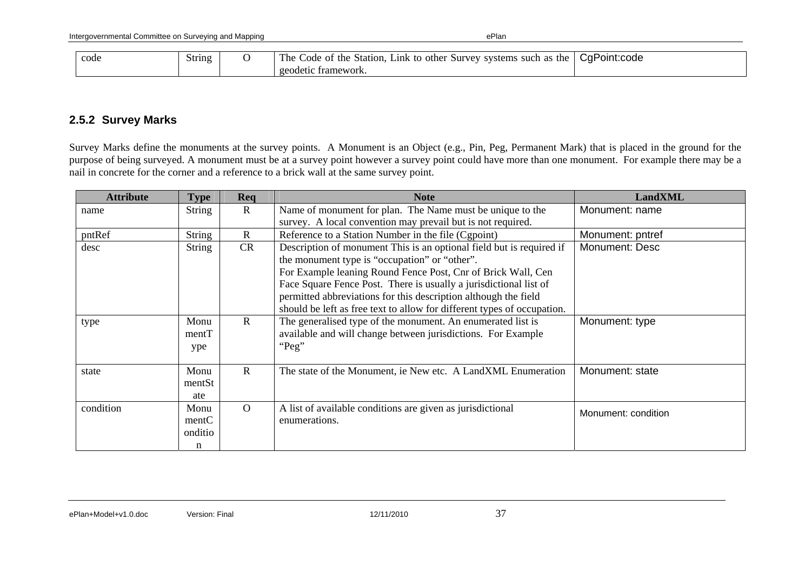| code | $\sim$<br>String | ∟ınk<br>l he<br>other<br>the<br>Survey<br>systems<br>Code<br>such as<br>Station.<br>the<br>to.<br>ОT | $\sim$<br>CaPoint:code |
|------|------------------|------------------------------------------------------------------------------------------------------|------------------------|
|      |                  | tramework.<br>geodetic                                                                               |                        |

#### **2.5.2 Survey Marks**

Survey Marks define the monuments at the survey points. A Monument is an Object (e.g., Pin, Peg, Permanent Mark) that is placed in the ground for the purpose of being surveyed. A monument must be at a survey point however a survey point could have more than one monument. For example there may be a nail in concrete for the corner and a reference to a brick wall at the same survey point.

| <b>Attribute</b> | <b>Type</b>   | Req            | <b>Note</b>                                                             | <b>LandXML</b>        |
|------------------|---------------|----------------|-------------------------------------------------------------------------|-----------------------|
| name             | String        | $\mathbf R$    | Name of monument for plan. The Name must be unique to the               | Monument: name        |
|                  |               |                | survey. A local convention may prevail but is not required.             |                       |
| pntRef           | <b>String</b> | $\mathbf R$    | Reference to a Station Number in the file (Cgpoint)                     | Monument: pntref      |
| desc             | String        | CR             | Description of monument This is an optional field but is required if    | <b>Monument: Desc</b> |
|                  |               |                | the monument type is "occupation" or "other".                           |                       |
|                  |               |                | For Example leaning Round Fence Post, Cnr of Brick Wall, Cen            |                       |
|                  |               |                | Face Square Fence Post. There is usually a jurisdictional list of       |                       |
|                  |               |                | permitted abbreviations for this description although the field         |                       |
|                  |               |                | should be left as free text to allow for different types of occupation. |                       |
| type             | Monu          | $\mathbf{R}$   | The generalised type of the monument. An enumerated list is             | Monument: type        |
|                  | mentT         |                | available and will change between jurisdictions. For Example            |                       |
|                  | ype           |                | "Peg"                                                                   |                       |
|                  |               |                |                                                                         |                       |
| state            | Monu          | $\mathbf{R}$   | The state of the Monument, ie New etc. A LandXML Enumeration            | Monument: state       |
|                  | mentSt        |                |                                                                         |                       |
|                  | ate           |                |                                                                         |                       |
| condition        | Monu          | $\overline{O}$ | A list of available conditions are given as jurisdictional              | Monument: condition   |
|                  | mentC         |                | enumerations.                                                           |                       |
|                  | onditio       |                |                                                                         |                       |
|                  | n             |                |                                                                         |                       |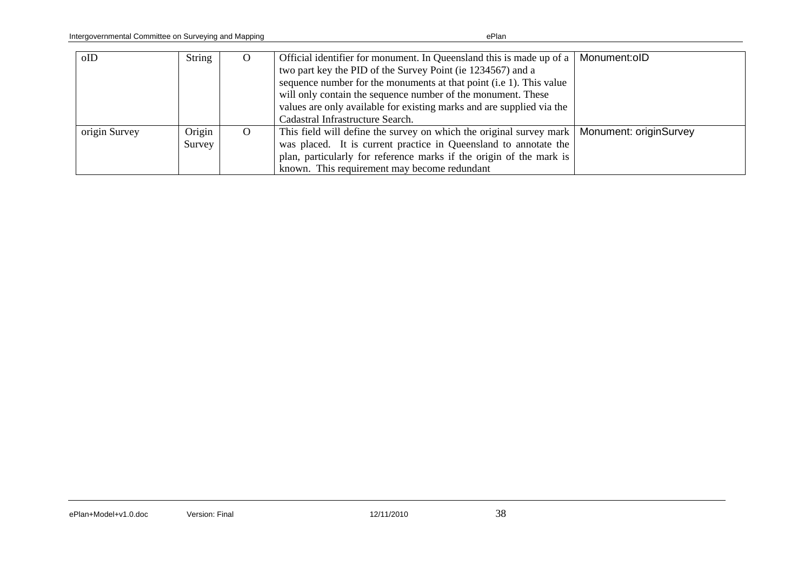| <sub>o</sub> ID | String           | Ő        | Official identifier for monument. In Queensland this is made up of a<br>two part key the PID of the Survey Point (ie 1234567) and a<br>sequence number for the monuments at that point (i.e. 1). This value<br>will only contain the sequence number of the monument. These<br>values are only available for existing marks and are supplied via the<br>Cadastral Infrastructure Search. | Monument:olD           |
|-----------------|------------------|----------|------------------------------------------------------------------------------------------------------------------------------------------------------------------------------------------------------------------------------------------------------------------------------------------------------------------------------------------------------------------------------------------|------------------------|
| origin Survey   | Origin<br>Survey | $\Omega$ | This field will define the survey on which the original survey mark<br>was placed. It is current practice in Queensland to annotate the<br>plan, particularly for reference marks if the origin of the mark is<br>known. This requirement may become redundant                                                                                                                           | Monument: originSurvey |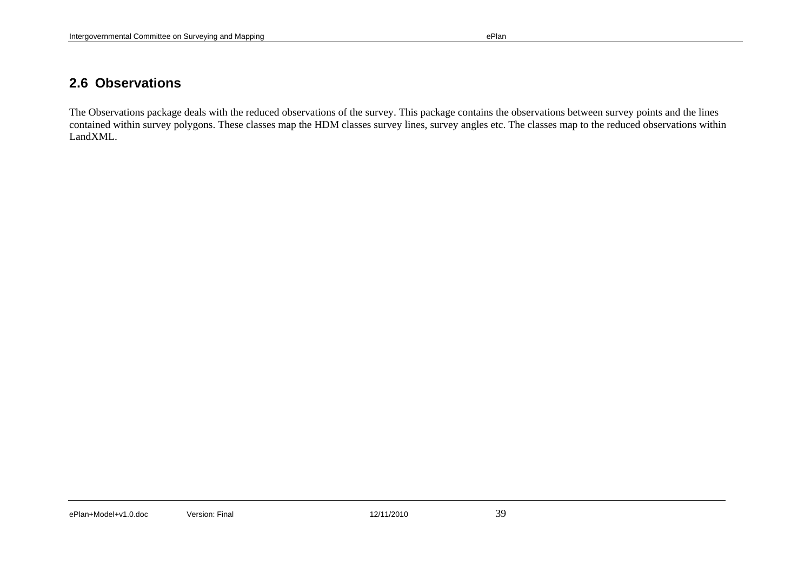## **2.6 Observations**

The Observations package deals with the reduced observations of the survey. This package contains the observations between survey points and the lines contained within survey polygons. These classes map the HDM classes survey lines, survey angles etc. The classes map to the reduced observations within LandXML.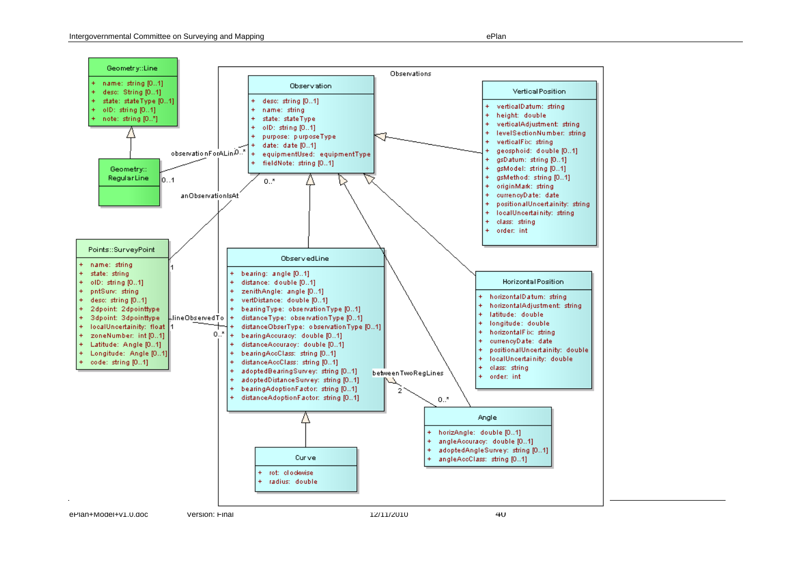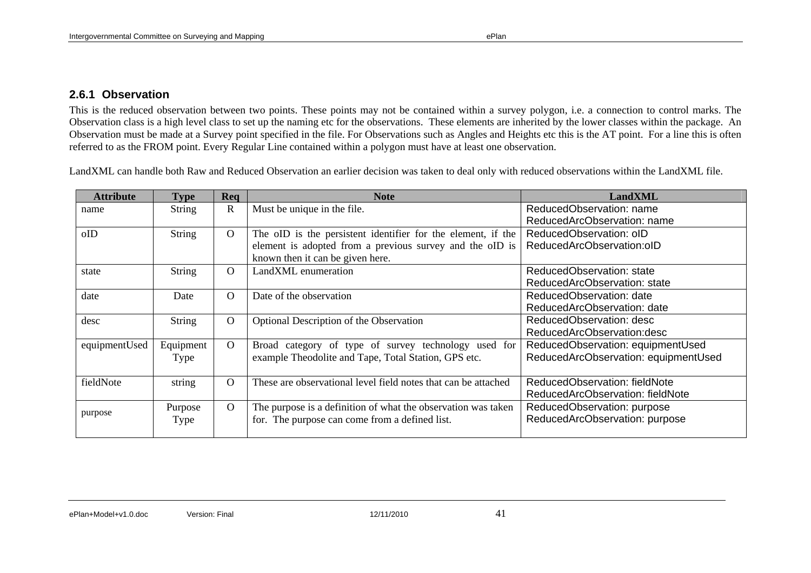#### **2.6.1 Observation**

This is the reduced observation between two points. These points may not be contained within a survey polygon, i.e. a connection to control marks. The Observation class is a high level class to set up the naming etc for the observations. These elements are inherited by the lower classes within the package. An Observation must be made at a Survey point specified in the file. For Observations such as Angles and Heights etc this is the AT point. For a line this is often referred to as the FROM point. Every Regular Line contained within a polygon must have at least one observation.

LandXML can handle both Raw and Reduced Observation an earlier decision was taken to deal only with reduced observations within the LandXML file.

| <b>Attribute</b> | Type          | Req            | <b>Note</b>                                                    | <b>LandXML</b>                       |
|------------------|---------------|----------------|----------------------------------------------------------------|--------------------------------------|
| name             | String        | R              | Must be unique in the file.                                    | ReducedObservation: name             |
|                  |               |                |                                                                | ReducedArcObservation: name          |
| oID              | String        | $\Omega$       | The oID is the persistent identifier for the element, if the   | ReducedObservation: oID              |
|                  |               |                | element is adopted from a previous survey and the oID is       | ReducedArcObservation:oID            |
|                  |               |                | known then it can be given here.                               |                                      |
| state            | String        | $\Omega$       | LandXML enumeration                                            | ReducedObservation: state            |
|                  |               |                |                                                                | ReducedArcObservation: state         |
| date             | Date          | $\Omega$       | Date of the observation                                        | ReducedObservation: date             |
|                  |               |                |                                                                | ReducedArcObservation: date          |
| desc             | <b>String</b> | $\overline{O}$ | Optional Description of the Observation                        | ReducedObservation: desc             |
|                  |               |                |                                                                | ReducedArcObservation:desc           |
| equipmentUsed    | Equipment     | $\Omega$       | Broad category of type of survey technology used for           | ReducedObservation: equipmentUsed    |
|                  | Type          |                | example Theodolite and Tape, Total Station, GPS etc.           | ReducedArcObservation: equipmentUsed |
|                  |               |                |                                                                |                                      |
| fieldNote        | string        | $\Omega$       | These are observational level field notes that can be attached | ReducedObservation: fieldNote        |
|                  |               |                |                                                                | ReducedArcObservation: fieldNote     |
| purpose          | Purpose       | $\Omega$       | The purpose is a definition of what the observation was taken  | ReducedObservation: purpose          |
|                  | Type          |                | for. The purpose can come from a defined list.                 | ReducedArcObservation: purpose       |
|                  |               |                |                                                                |                                      |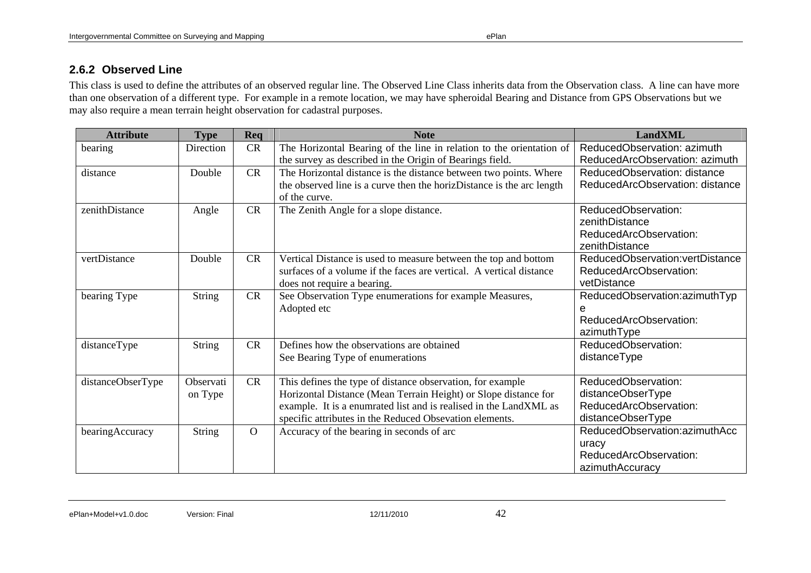#### **2.6.2 Observed Line**

This class is used to define the attributes of an observed regular line. The Observed Line Class inherits data from the Observation class. A line can have more than one observation of a different type. For example in a remote location, we may have spheroidal Bearing and Distance from GPS Observations but we may also require a mean terrain height observation for cadastral purposes.

| <b>Attribute</b>  | <b>Type</b>          | Req            | <b>Note</b>                                                                                                                                                                                                                                                   | <b>LandXML</b>                                                                          |
|-------------------|----------------------|----------------|---------------------------------------------------------------------------------------------------------------------------------------------------------------------------------------------------------------------------------------------------------------|-----------------------------------------------------------------------------------------|
| bearing           | Direction            | CR             | The Horizontal Bearing of the line in relation to the orientation of<br>the survey as described in the Origin of Bearings field.                                                                                                                              | ReducedObservation: azimuth<br>ReducedArcObservation: azimuth                           |
| distance          | Double               | CR             | The Horizontal distance is the distance between two points. Where<br>the observed line is a curve then the horizDistance is the arc length<br>of the curve.                                                                                                   | ReducedObservation: distance<br>ReducedArcObservation: distance                         |
| zenithDistance    | Angle                | CR             | The Zenith Angle for a slope distance.                                                                                                                                                                                                                        | ReducedObservation:<br>zenithDistance<br>ReducedArcObservation:<br>zenithDistance       |
| vertDistance      | Double               | CR             | Vertical Distance is used to measure between the top and bottom<br>surfaces of a volume if the faces are vertical. A vertical distance<br>does not require a bearing.                                                                                         | ReducedObservation:vertDistance<br>ReducedArcObservation:<br>vetDistance                |
| bearing Type      | <b>String</b>        | <b>CR</b>      | See Observation Type enumerations for example Measures,<br>Adopted etc                                                                                                                                                                                        | ReducedObservation:azimuthTyp<br>ReducedArcObservation:<br>azimuthType                  |
| distanceType      | <b>String</b>        | CR             | Defines how the observations are obtained<br>See Bearing Type of enumerations                                                                                                                                                                                 | ReducedObservation:<br>distanceType                                                     |
| distanceObserType | Observati<br>on Type | <b>CR</b>      | This defines the type of distance observation, for example<br>Horizontal Distance (Mean Terrain Height) or Slope distance for<br>example. It is a enumrated list and is realised in the LandXML as<br>specific attributes in the Reduced Obsevation elements. | ReducedObservation:<br>distanceObserType<br>ReducedArcObservation:<br>distanceObserType |
| bearingAccuracy   | <b>String</b>        | $\overline{O}$ | Accuracy of the bearing in seconds of arc                                                                                                                                                                                                                     | ReducedObservation:azimuthAcc<br>uracy<br>ReducedArcObservation:<br>azimuthAccuracy     |

ePlan+Model+v1.0.doc Version: Final 12/11/2010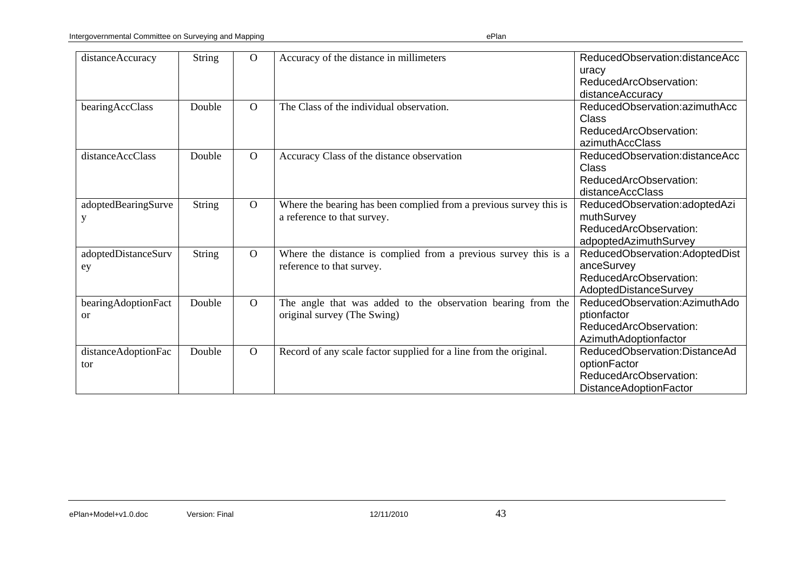| distanceAccuracy                     | <b>String</b> | $\overline{O}$ | Accuracy of the distance in millimeters                                                           | ReducedObservation:distanceAcc<br>uracy<br>ReducedArcObservation:<br>distanceAccuracy                    |
|--------------------------------------|---------------|----------------|---------------------------------------------------------------------------------------------------|----------------------------------------------------------------------------------------------------------|
| bearingAccClass                      | Double        | $\overline{O}$ | The Class of the individual observation.                                                          | ReducedObservation:azimuthAcc<br>Class<br>ReducedArcObservation:<br>azimuthAccClass                      |
| distanceAccClass                     | Double        | $\Omega$       | Accuracy Class of the distance observation                                                        | ReducedObservation:distanceAcc<br><b>Class</b><br>ReducedArcObservation:<br>distanceAccClass             |
| adoptedBearingSurve                  | <b>String</b> | $\overline{O}$ | Where the bearing has been complied from a previous survey this is<br>a reference to that survey. | ReducedObservation:adoptedAzi<br>muthSurvey<br>ReducedArcObservation:<br>adpoptedAzimuthSurvey           |
| adoptedDistanceSurv<br>ey            | <b>String</b> | $\Omega$       | Where the distance is complied from a previous survey this is a<br>reference to that survey.      | ReducedObservation:AdoptedDist<br>anceSurvey<br>ReducedArcObservation:<br>AdoptedDistanceSurvey          |
| bearingAdoptionFact<br><sub>or</sub> | Double        | $\overline{O}$ | The angle that was added to the observation bearing from the<br>original survey (The Swing)       | ReducedObservation:AzimuthAdo<br>ptionfactor<br>ReducedArcObservation:<br>AzimuthAdoptionfactor          |
| distanceAdoptionFac<br>tor           | Double        | $\overline{O}$ | Record of any scale factor supplied for a line from the original.                                 | ReducedObservation:DistanceAd<br>optionFactor<br>ReducedArcObservation:<br><b>DistanceAdoptionFactor</b> |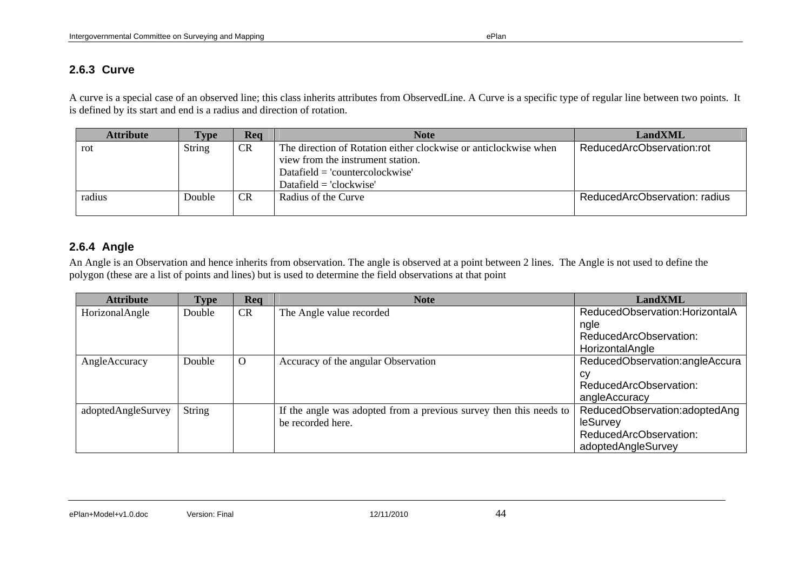#### **2.6.3 Curve**

A curve is a special case of an observed line; this class inherits attributes from ObservedLine. A Curve is a specific type of regular line between two points. It is defined by its start and end is a radius and direction of rotation.

| <b>Attribute</b> | Type   | Req       | <b>Note</b>                                                      | LandXML                       |
|------------------|--------|-----------|------------------------------------------------------------------|-------------------------------|
| rot              | String | CR        | The direction of Rotation either clockwise or anticlockwise when | ReducedArcObservation:rot     |
|                  |        |           | view from the instrument station.                                |                               |
|                  |        |           | $\text{Datafield} = 'countercolockwise'$                         |                               |
|                  |        |           | Datafield = $'clockwise'$                                        |                               |
| radius           | Double | <b>CR</b> | Radius of the Curve                                              | ReducedArcObservation: radius |
|                  |        |           |                                                                  |                               |

#### **2.6.4 Angle**

An Angle is an Observation and hence inherits from observation. The angle is observed at a point between 2 lines. The Angle is not used to define the polygon (these are a list of points and lines) but is used to determine the field observations at that point

| <b>Attribute</b>   | <b>Type</b>   | Rea       | <b>Note</b>                                                        | LandXML                        |
|--------------------|---------------|-----------|--------------------------------------------------------------------|--------------------------------|
| HorizonalAngle     | Double        | <b>CR</b> | The Angle value recorded                                           | ReducedObservation:HorizontalA |
|                    |               |           |                                                                    | ngle                           |
|                    |               |           |                                                                    | ReducedArcObservation:         |
|                    |               |           |                                                                    | HorizontalAngle                |
| AngleAccuracy      | Double        | $\Omega$  | Accuracy of the angular Observation                                | ReducedObservation:angleAccura |
|                    |               |           |                                                                    | CV                             |
|                    |               |           |                                                                    | ReducedArcObservation:         |
|                    |               |           |                                                                    | angleAccuracy                  |
| adoptedAngleSurvey | <b>String</b> |           | If the angle was adopted from a previous survey then this needs to | ReducedObservation:adoptedAng  |
|                    |               |           | be recorded here.                                                  | leSurvey                       |
|                    |               |           |                                                                    | ReducedArcObservation:         |
|                    |               |           |                                                                    | adoptedAngleSurvey             |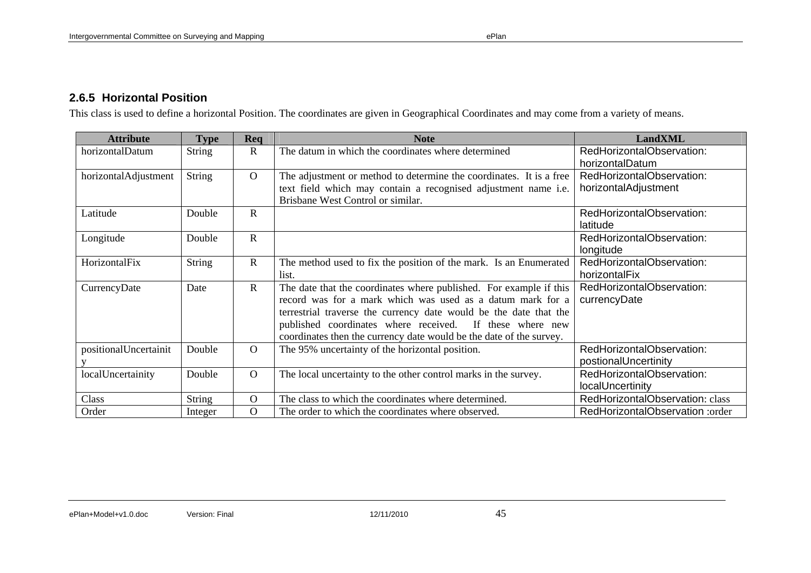#### **2.6.5 Horizontal Position**

This class is used to define a horizontal Position. The coordinates are given in Geographical Coordinates and may come from a variety of means.

| <b>Attribute</b>      | <b>Type</b>   | Req          | <b>Note</b>                                                         | <b>LandXML</b>                  |
|-----------------------|---------------|--------------|---------------------------------------------------------------------|---------------------------------|
| horizontalDatum       | <b>String</b> | $\mathbf R$  | The datum in which the coordinates where determined                 | RedHorizontalObservation:       |
|                       |               |              |                                                                     | horizontalDatum                 |
| horizontalAdjustment  | <b>String</b> | $\Omega$     | The adjustment or method to determine the coordinates. It is a free | RedHorizontalObservation:       |
|                       |               |              | text field which may contain a recognised adjustment name i.e.      | horizontalAdjustment            |
|                       |               |              | Brisbane West Control or similar.                                   |                                 |
| Latitude              | Double        | $\mathbf{R}$ |                                                                     | RedHorizontalObservation:       |
|                       |               |              |                                                                     | latitude                        |
| Longitude             | Double        | $\mathbf{R}$ |                                                                     | RedHorizontalObservation:       |
|                       |               |              |                                                                     | longitude                       |
| HorizontalFix         | String        | $\mathbf R$  | The method used to fix the position of the mark. Is an Enumerated   | RedHorizontalObservation:       |
|                       |               |              | list.                                                               | horizontalFix                   |
| CurrencyDate          | Date          | $\mathbf{R}$ | The date that the coordinates where published. For example if this  | RedHorizontalObservation:       |
|                       |               |              | record was for a mark which was used as a datum mark for a          | currencyDate                    |
|                       |               |              | terrestrial traverse the currency date would be the date that the   |                                 |
|                       |               |              | published coordinates where received. If these where new            |                                 |
|                       |               |              | coordinates then the currency date would be the date of the survey. |                                 |
| positionalUncertainit | Double        | $\Omega$     | The 95% uncertainty of the horizontal position.                     | RedHorizontalObservation:       |
|                       |               |              |                                                                     | postionalUncertinity            |
| localUncertainity     | Double        | $\Omega$     | The local uncertainty to the other control marks in the survey.     | RedHorizontalObservation:       |
|                       |               |              |                                                                     | localUncertinity                |
| Class                 | <b>String</b> | $\mathbf{O}$ | The class to which the coordinates where determined.                | RedHorizontalObservation: class |
| Order                 | Integer       | $\mathbf{O}$ | The order to which the coordinates where observed.                  | RedHorizontalObservation:order  |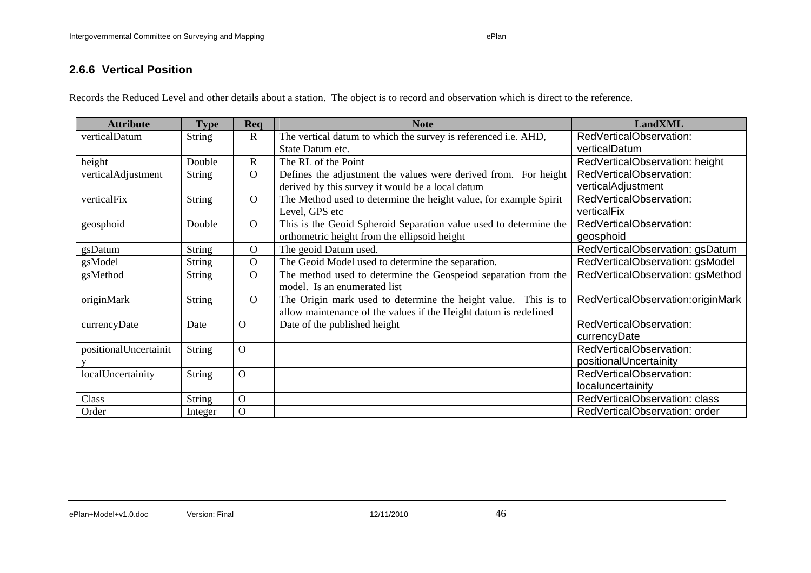#### **2.6.6 Vertical Position**

Records the Reduced Level and other details about a station. The object is to record and observation which is direct to the reference.

| <b>Attribute</b>      | <b>Type</b>   | Req            | <b>Note</b>                                                       | <b>LandXML</b>                    |
|-----------------------|---------------|----------------|-------------------------------------------------------------------|-----------------------------------|
| verticalDatum         | String        | $\mathbf R$    | The vertical datum to which the survey is referenced i.e. AHD,    | RedVerticalObservation:           |
|                       |               |                | State Datum etc.                                                  | verticalDatum                     |
| height                | Double        | $\mathbf R$    | The RL of the Point                                               | RedVerticalObservation: height    |
| verticalAdjustment    | <b>String</b> | $\overline{O}$ | Defines the adjustment the values were derived from. For height   | RedVerticalObservation:           |
|                       |               |                | derived by this survey it would be a local datum                  | verticalAdjustment                |
| verticalFix           | <b>String</b> | $\overline{O}$ | The Method used to determine the height value, for example Spirit | RedVerticalObservation:           |
|                       |               |                | Level, GPS etc                                                    | verticalFix                       |
| geosphoid             | Double        | $\overline{O}$ | This is the Geoid Spheroid Separation value used to determine the | RedVerticalObservation:           |
|                       |               |                | orthometric height from the ellipsoid height                      | geosphoid                         |
| gsDatum               | <b>String</b> | $\mathbf{O}$   | The geoid Datum used.                                             | RedVerticalObservation: gsDatum   |
| gsModel               | <b>String</b> | $\mathbf{O}$   | The Geoid Model used to determine the separation.                 | RedVerticalObservation: gsModel   |
| gsMethod              | <b>String</b> | $\mathbf{O}$   | The method used to determine the Geospeiod separation from the    | RedVerticalObservation: gsMethod  |
|                       |               |                | model. Is an enumerated list                                      |                                   |
| originMark            | <b>String</b> | $\Omega$       | The Origin mark used to determine the height value. This is to    | RedVerticalObservation:originMark |
|                       |               |                | allow maintenance of the values if the Height datum is redefined  |                                   |
| currencyDate          | Date          | $\Omega$       | Date of the published height                                      | RedVerticalObservation:           |
|                       |               |                |                                                                   | currencyDate                      |
| positionalUncertainit | <b>String</b> | $\Omega$       |                                                                   | RedVerticalObservation:           |
|                       |               |                |                                                                   | positionalUncertainity            |
| localUncertainity     | <b>String</b> | $\Omega$       |                                                                   | RedVerticalObservation:           |
|                       |               |                |                                                                   | localuncertainity                 |
| Class                 | <b>String</b> | $\mathbf{O}$   |                                                                   | RedVerticalObservation: class     |
| Order                 | Integer       | $\mathbf O$    |                                                                   | RedVerticalObservation: order     |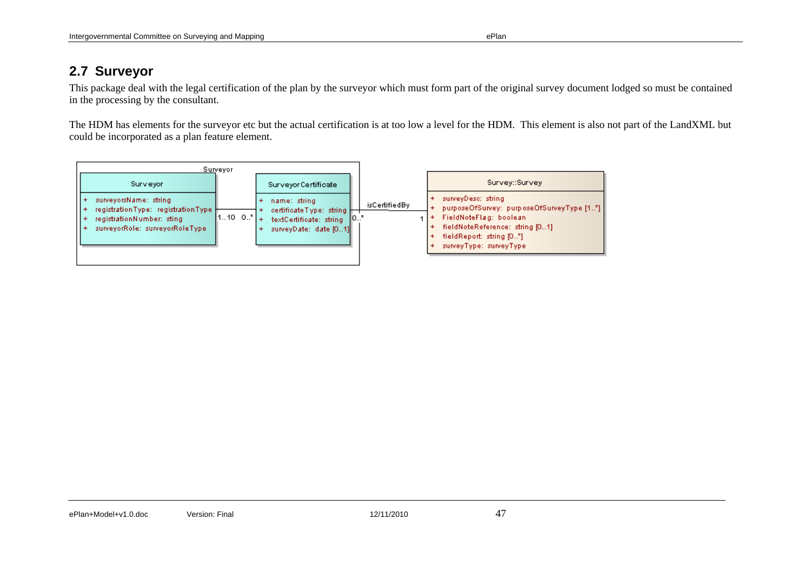## **2.7 Surveyor**

This package deal with the legal certification of the plan by the surveyor which must form part of the original survey document lodged so must be contained in the processing by the consultant.

The HDM has elements for the surveyor etc but the actual certification is at too low a level for the HDM. This element is also not part of the LandXML but could be incorporated as a plan feature element.

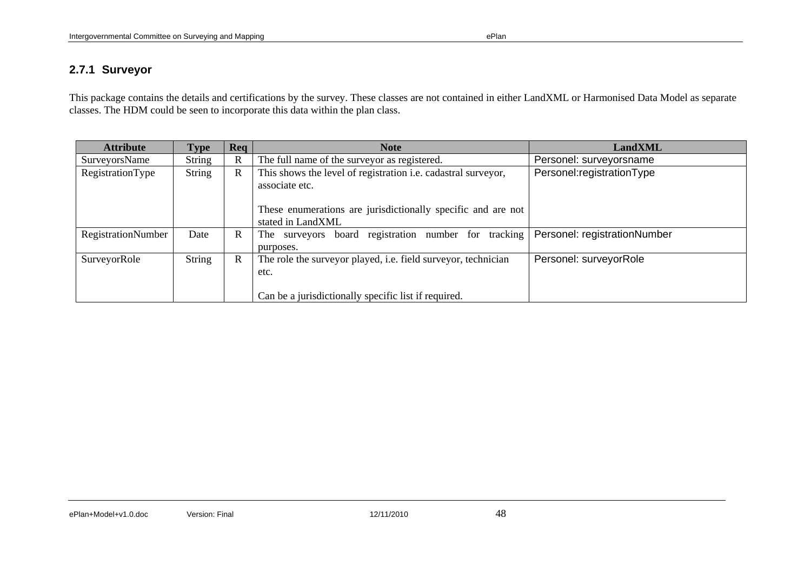#### **2.7.1 Surveyor**

This package contains the details and certifications by the survey. These classes are not contained in either LandXML or Harmonised Data Model as separate classes. The HDM could be seen to incorporate this data within the plan class.

| <b>Attribute</b>   | <b>Type</b>   | Req         | <b>Note</b>                                                                                                                                                          | <b>LandXML</b>               |
|--------------------|---------------|-------------|----------------------------------------------------------------------------------------------------------------------------------------------------------------------|------------------------------|
| SurveyorsName      | <b>String</b> | R           | The full name of the surveyor as registered.                                                                                                                         | Personel: surveyorsname      |
| RegistrationType   | <b>String</b> | $\mathbf R$ | This shows the level of registration i.e. cadastral surveyor,<br>associate etc.<br>These enumerations are jurisdictionally specific and are not<br>stated in LandXML | Personel:registrationType    |
| RegistrationNumber | Date          | R           | registration number for tracking<br>The surveyors board<br>purposes.                                                                                                 | Personel: registrationNumber |
| SurveyorRole       | <b>String</b> | R           | The role the surveyor played, i.e. field surveyor, technician<br>etc.<br>Can be a jurisdictionally specific list if required.                                        | Personel: surveyorRole       |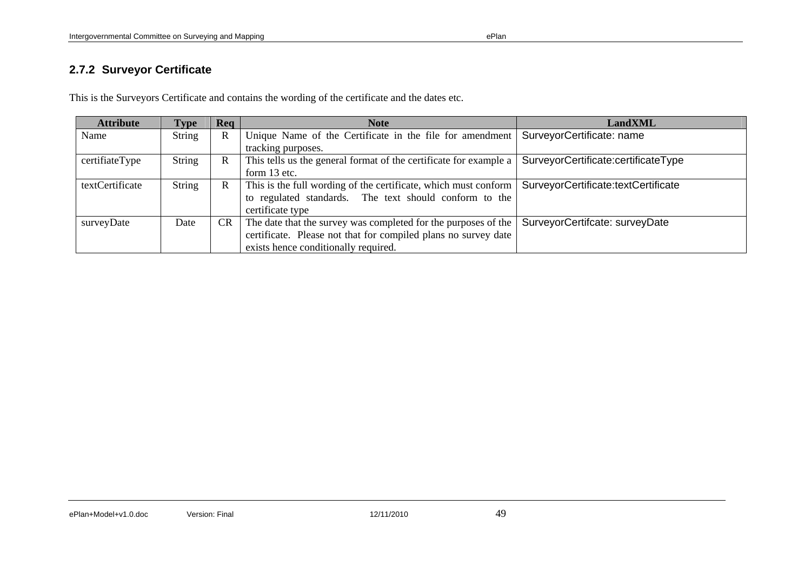### **2.7.2 Surveyor Certificate**

This is the Surveyors Certificate and contains the wording of the certificate and the dates etc.

| <b>Attribute</b> | <b>Type</b>   | Req         | <b>Note</b>                                                       | <b>LandXML</b>                      |
|------------------|---------------|-------------|-------------------------------------------------------------------|-------------------------------------|
| Name             | String        | $\mathbf R$ | Unique Name of the Certificate in the file for amendment          | SurveyorCertificate: name           |
|                  |               |             | tracking purposes.                                                |                                     |
| certifiateType   | <b>String</b> | R           | This tells us the general format of the certificate for example a | SurveyorCertificate:certificateType |
|                  |               |             | form 13 etc.                                                      |                                     |
| textCertificate  | <b>String</b> | R           | This is the full wording of the certificate, which must conform   | SurveyorCertificate:textCertificate |
|                  |               |             | to regulated standards. The text should conform to the            |                                     |
|                  |               |             | certificate type                                                  |                                     |
| surveyDate       | Date          | <b>CR</b>   | The date that the survey was completed for the purposes of the    | SurveyorCertifcate: surveyDate      |
|                  |               |             | certificate. Please not that for compiled plans no survey date    |                                     |
|                  |               |             | exists hence conditionally required.                              |                                     |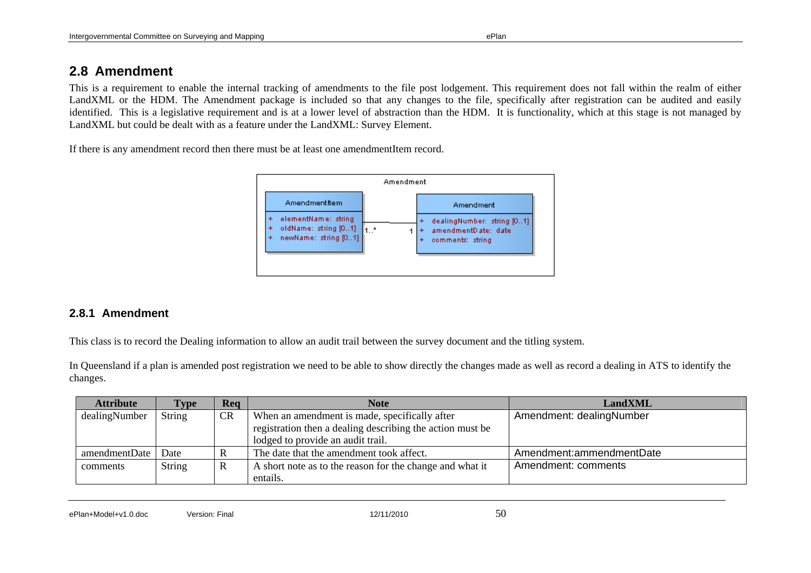### **2.8 Amendment**

This is a requirement to enable the internal tracking of amendments to the file post lodgement. This requirement does not fall within the realm of either LandXML or the HDM. The Amendment package is included so that any changes to the file, specifically after registration can be audited and easily identified. This is a legislative requirement and is at a lower level of abstraction than the HDM. It is functionality, which at this stage is not managed by LandXML but could be dealt with as a feature under the LandXML: Survey Element.

If there is any amendment record then there must be at least one amendmentItem record.



#### **2.8.1 Amendment**

This class is to record the Dealing information to allow an audit trail between the survey document and the titling system.

In Queensland if a plan is amended post registration we need to be able to show directly the changes made as well as record a dealing in ATS to identify the changes.

| <b>Attribute</b> | Type          | Req         | <b>Note</b>                                               | LandXML                  |
|------------------|---------------|-------------|-----------------------------------------------------------|--------------------------|
| dealingNumber    | <b>String</b> | <b>CR</b>   | When an amendment is made, specifically after             | Amendment: dealingNumber |
|                  |               |             | registration then a dealing describing the action must be |                          |
|                  |               |             | lodged to provide an audit trail.                         |                          |
| amendmentDate    | Date          | R           | The date that the amendment took affect.                  | Amendment:ammendmentDate |
| comments         | <b>String</b> | $\mathbf R$ | A short note as to the reason for the change and what it  | Amendment: comments      |
|                  |               |             | entails.                                                  |                          |

ePlan+Model+v1.0.doc Version: Final 12/11/2010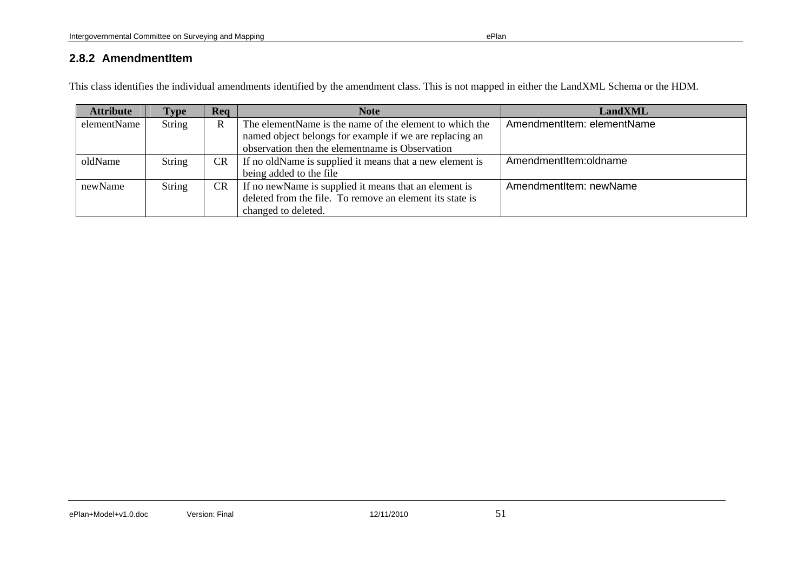#### **2.8.2 AmendmentItem**

This class identifies the individual amendments identified by the amendment class. This is not mapped in either the LandXML Schema or the HDM.

| <b>Attribute</b> | <b>Type</b>   | Req         | <b>Note</b>                                              | LandXML                    |
|------------------|---------------|-------------|----------------------------------------------------------|----------------------------|
| elementName      | String        | $\mathbf R$ | The element Name is the name of the element to which the | AmendmentItem: elementName |
|                  |               |             | named object belongs for example if we are replacing an  |                            |
|                  |               |             | observation then the element name is Observation         |                            |
| oldName          | String        | <b>CR</b>   | If no oldName is supplied it means that a new element is | AmendmentItem:oldname      |
|                  |               |             | being added to the file                                  |                            |
| newName          | <b>String</b> | <b>CR</b>   | If no newName is supplied it means that an element is    | AmendmentItem: newName     |
|                  |               |             | deleted from the file. To remove an element its state is |                            |
|                  |               |             | changed to deleted.                                      |                            |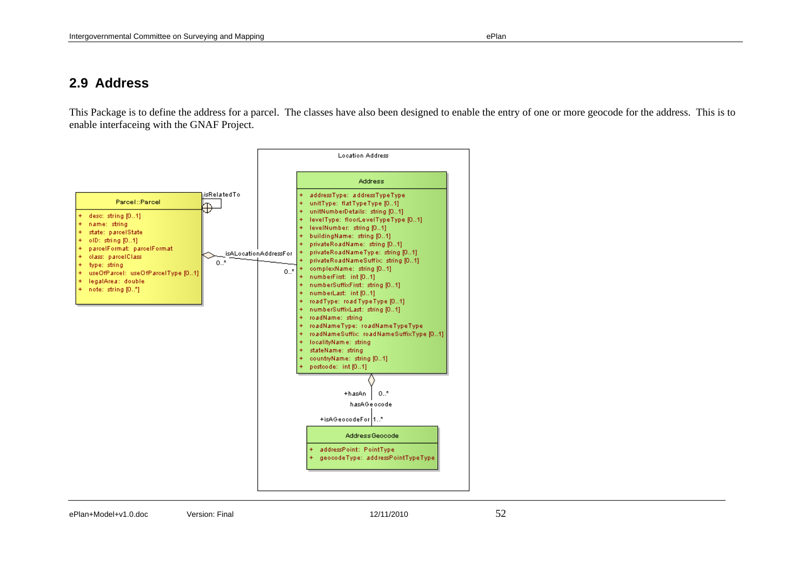#### **2.9 Address**

This Package is to define the address for a parcel. The classes have also been designed to enable the entry of one or more geocode for the address. This is to enable interfaceing with the GNAF Project.

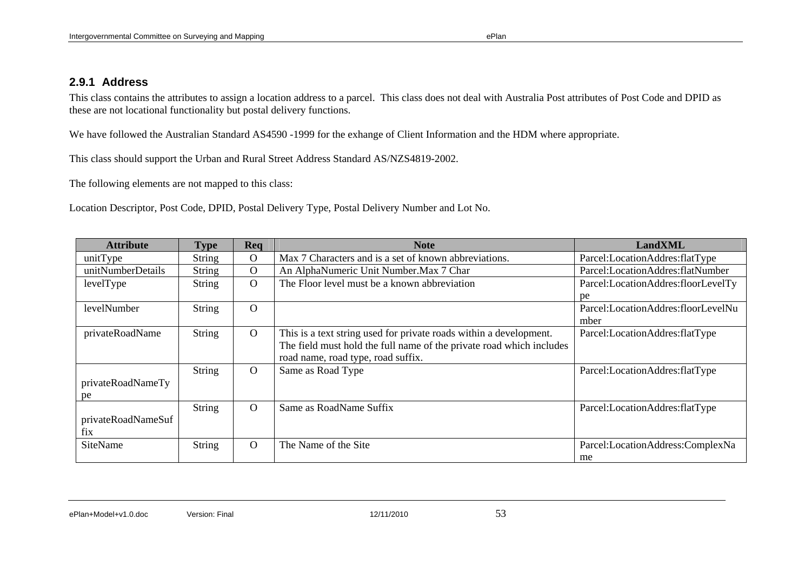#### **2.9.1 Address**

This class contains the attributes to assign a location address to a parcel. This class does not deal with Australia Post attributes of Post Code and DPID as these are not locational functionality but postal delivery functions.

We have followed the Australian Standard AS4590 -1999 for the exhange of Client Information and the HDM where appropriate.

This class should support the Urban and Rural Street Address Standard AS/NZS4819-2002.

The following elements are not mapped to this class:

Location Descriptor, Post Code, DPID, Postal Delivery Type, Postal Delivery Number and Lot No.

| <b>Attribute</b>   | <b>Type</b>   | Req            | <b>Note</b>                                                          | LandXML                            |
|--------------------|---------------|----------------|----------------------------------------------------------------------|------------------------------------|
| unitType           | <b>String</b> | $\overline{O}$ | Max 7 Characters and is a set of known abbreviations.                | Parcel:LocationAddres:flatType     |
| unitNumberDetails  | <b>String</b> | $\overline{O}$ | An AlphaNumeric Unit Number. Max 7 Char                              | Parcel:LocationAddres:flatNumber   |
| levelType          | <b>String</b> | $\Omega$       | The Floor level must be a known abbreviation                         | Parcel:LocationAddres:floorLevelTy |
|                    |               |                |                                                                      | pe                                 |
| levelNumber        | <b>String</b> | $\Omega$       |                                                                      | Parcel:LocationAddres:floorLevelNu |
|                    |               |                |                                                                      | mber                               |
| privateRoadName    | <b>String</b> | $\Omega$       | This is a text string used for private roads within a development.   | Parcel:LocationAddres:flatType     |
|                    |               |                | The field must hold the full name of the private road which includes |                                    |
|                    |               |                | road name, road type, road suffix.                                   |                                    |
|                    | <b>String</b> | $\Omega$       | Same as Road Type                                                    | Parcel:LocationAddres:flatType     |
| privateRoadNameTy  |               |                |                                                                      |                                    |
| pe                 |               |                |                                                                      |                                    |
|                    | <b>String</b> | $\Omega$       | Same as RoadName Suffix                                              | Parcel:LocationAddres:flatType     |
| privateRoadNameSuf |               |                |                                                                      |                                    |
| fix                |               |                |                                                                      |                                    |
| <b>SiteName</b>    | <b>String</b> | $\Omega$       | The Name of the Site                                                 | Parcel:LocationAddress:ComplexNa   |
|                    |               |                |                                                                      | me                                 |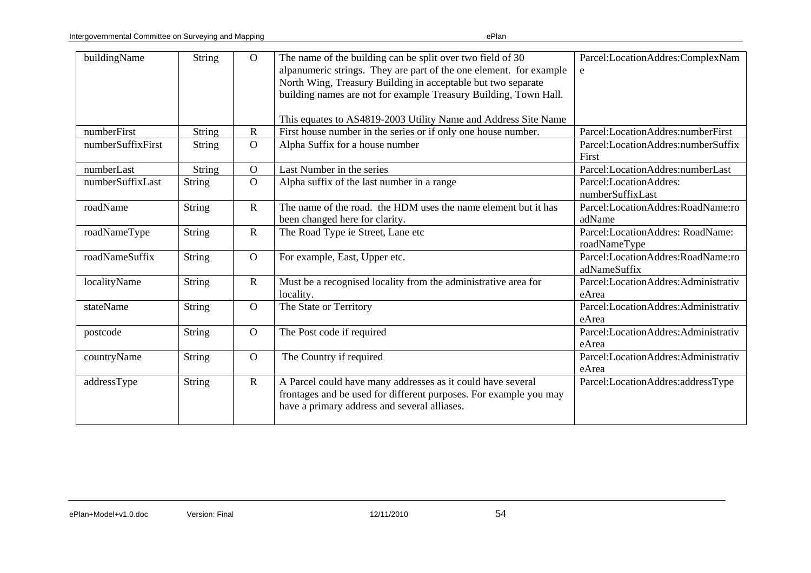| buildingName      | <b>String</b> | $\Omega$       | The name of the building can be split over two field of 30<br>alpanumeric strings. They are part of the one element. for example<br>North Wing, Treasury Building in acceptable but two separate | Parcel:LocationAddres:ComplexNam<br>e             |
|-------------------|---------------|----------------|--------------------------------------------------------------------------------------------------------------------------------------------------------------------------------------------------|---------------------------------------------------|
|                   |               |                | building names are not for example Treasury Building, Town Hall.                                                                                                                                 |                                                   |
|                   |               |                | This equates to AS4819-2003 Utility Name and Address Site Name                                                                                                                                   |                                                   |
| numberFirst       | <b>String</b> | $\mathbf R$    | First house number in the series or if only one house number.                                                                                                                                    | Parcel:LocationAddres:numberFirst                 |
| numberSuffixFirst | <b>String</b> | $\overline{O}$ | Alpha Suffix for a house number                                                                                                                                                                  | Parcel:LocationAddres:numberSuffix<br>First       |
| numberLast        | String        | $\mathbf{O}$   | Last Number in the series                                                                                                                                                                        | Parcel:LocationAddres:numberLast                  |
| numberSuffixLast  | <b>String</b> | $\overline{O}$ | Alpha suffix of the last number in a range                                                                                                                                                       | Parcel:LocationAddres:<br>numberSuffixLast        |
| roadName          | <b>String</b> | $\mathbf R$    | The name of the road. the HDM uses the name element but it has<br>been changed here for clarity.                                                                                                 | Parcel:LocationAddres:RoadName:ro<br>adName       |
| roadNameType      | <b>String</b> | $\mathbf R$    | The Road Type ie Street, Lane etc                                                                                                                                                                | Parcel:LocationAddres: RoadName:<br>roadNameType  |
| roadNameSuffix    | <b>String</b> | $\overline{O}$ | For example, East, Upper etc.                                                                                                                                                                    | Parcel:LocationAddres:RoadName:ro<br>adNameSuffix |
| localityName      | String        | ${\bf R}$      | Must be a recognised locality from the administrative area for<br>locality.                                                                                                                      | Parcel:LocationAddres:Administrativ<br>eArea      |
| stateName         | <b>String</b> | $\Omega$       | The State or Territory                                                                                                                                                                           | Parcel:LocationAddres:Administrativ<br>eArea      |
| postcode          | <b>String</b> | $\Omega$       | The Post code if required                                                                                                                                                                        | Parcel:LocationAddres:Administrativ<br>eArea      |
| countryName       | <b>String</b> | $\Omega$       | The Country if required                                                                                                                                                                          | Parcel:LocationAddres:Administrativ<br>eArea      |
| addressType       | <b>String</b> | $\mathbf R$    | A Parcel could have many addresses as it could have several<br>frontages and be used for different purposes. For example you may<br>have a primary address and several alliases.                 | Parcel:LocationAddres:addressType                 |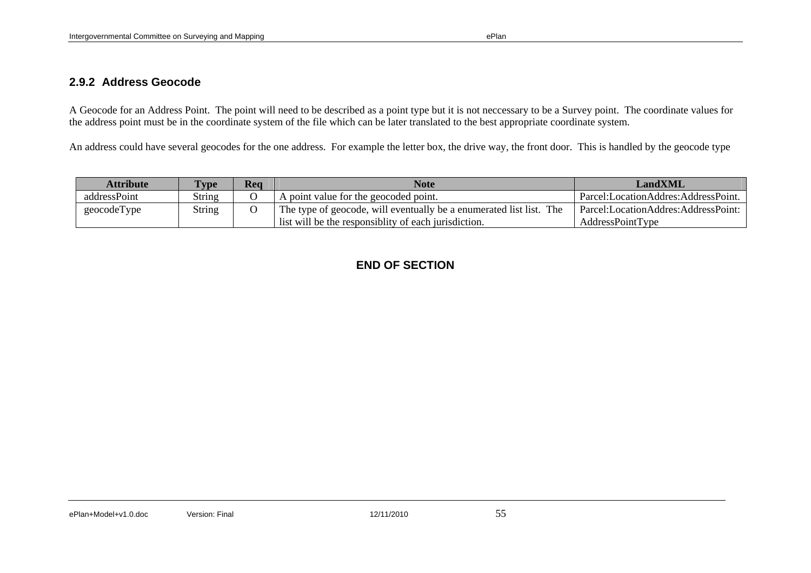#### **2.9.2 Address Geocode**

A Geocode for an Address Point. The point will need to be described as a point type but it is not neccessary to be a Survey point. The coordinate values for the address point must be in the coordinate system of the file which can be later translated to the best appropriate coordinate system.

An address could have several geocodes for the one address. For example the letter box, the drive way, the front door. This is handled by the geocode type

| <b>Attribute</b> | Type          | Rea | <b>Note</b>                                                         | LandXML                             |
|------------------|---------------|-----|---------------------------------------------------------------------|-------------------------------------|
| addressPoint     | <b>String</b> |     | A point value for the geocoded point.                               | Parcel:LocationAddres:AddressPoint. |
| geocodeType      | <b>String</b> |     | The type of geocode, will eventually be a enumerated list list. The | Parcel:LocationAddres:AddressPoint: |
|                  |               |     | list will be the responsibility of each jurisdiction.               | AddressPointType                    |

### **END OF SECTION**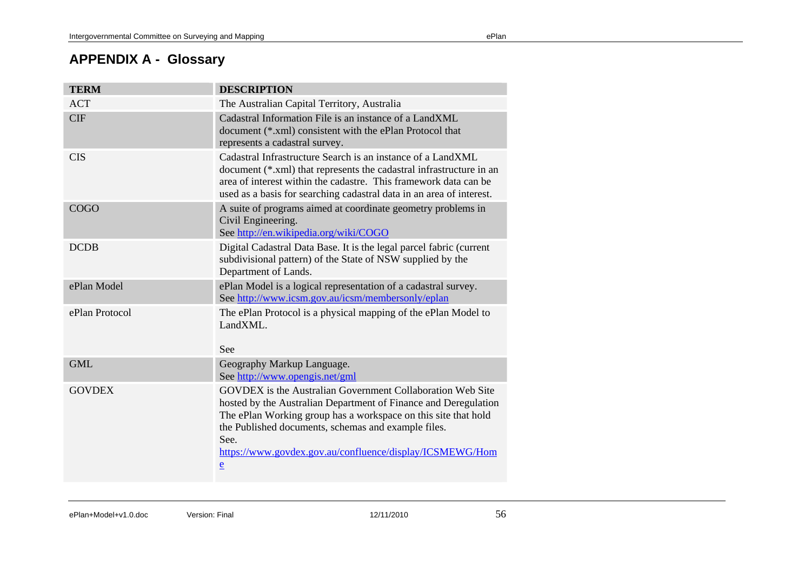## **APPENDIX A - Glossary**

| <b>TERM</b>    | <b>DESCRIPTION</b>                                                                                                                                                                                                                                                                                                                            |
|----------------|-----------------------------------------------------------------------------------------------------------------------------------------------------------------------------------------------------------------------------------------------------------------------------------------------------------------------------------------------|
| <b>ACT</b>     | The Australian Capital Territory, Australia                                                                                                                                                                                                                                                                                                   |
| <b>CIF</b>     | Cadastral Information File is an instance of a LandXML<br>document (*.xml) consistent with the ePlan Protocol that<br>represents a cadastral survey.                                                                                                                                                                                          |
| <b>CIS</b>     | Cadastral Infrastructure Search is an instance of a LandXML<br>document (*.xml) that represents the cadastral infrastructure in an<br>area of interest within the cadastre. This framework data can be<br>used as a basis for searching cadastral data in an area of interest.                                                                |
| COGO           | A suite of programs aimed at coordinate geometry problems in<br>Civil Engineering.<br>See http://en.wikipedia.org/wiki/COGO                                                                                                                                                                                                                   |
| <b>DCDB</b>    | Digital Cadastral Data Base. It is the legal parcel fabric (current<br>subdivisional pattern) of the State of NSW supplied by the<br>Department of Lands.                                                                                                                                                                                     |
| ePlan Model    | ePlan Model is a logical representation of a cadastral survey.<br>See http://www.icsm.gov.au/icsm/membersonly/eplan                                                                                                                                                                                                                           |
| ePlan Protocol | The ePlan Protocol is a physical mapping of the ePlan Model to<br>LandXML.<br>See                                                                                                                                                                                                                                                             |
| <b>GML</b>     | Geography Markup Language.<br>See http://www.opengis.net/gml                                                                                                                                                                                                                                                                                  |
| <b>GOVDEX</b>  | GOVDEX is the Australian Government Collaboration Web Site<br>hosted by the Australian Department of Finance and Deregulation<br>The ePlan Working group has a workspace on this site that hold<br>the Published documents, schemas and example files.<br>See.<br>https://www.govdex.gov.au/confluence/display/ICSMEWG/Hom<br>$\underline{e}$ |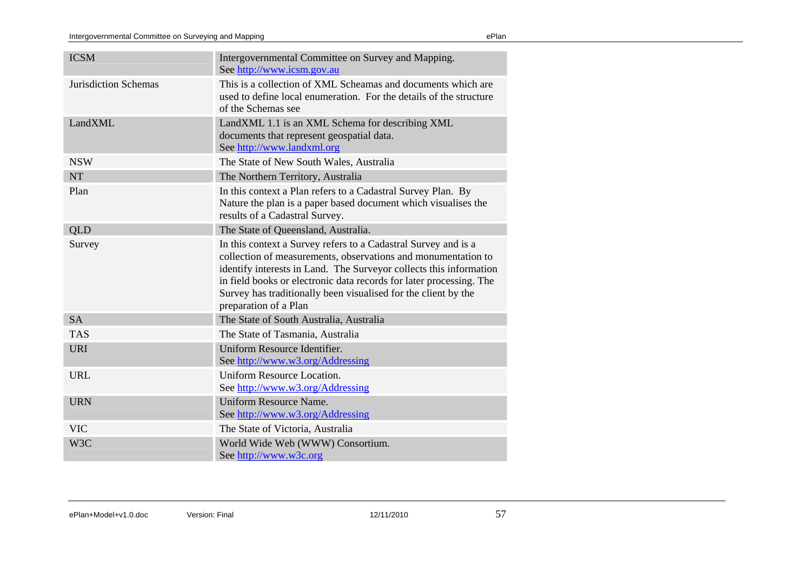| <b>ICSM</b>                 | Intergovernmental Committee on Survey and Mapping.<br>See http://www.icsm.gov.au                                                                                                                                                                                                                                                                                        |
|-----------------------------|-------------------------------------------------------------------------------------------------------------------------------------------------------------------------------------------------------------------------------------------------------------------------------------------------------------------------------------------------------------------------|
| <b>Jurisdiction Schemas</b> | This is a collection of XML Scheamas and documents which are<br>used to define local enumeration. For the details of the structure<br>of the Schemas see                                                                                                                                                                                                                |
| LandXML                     | LandXML 1.1 is an XML Schema for describing XML<br>documents that represent geospatial data.<br>See http://www.landxml.org                                                                                                                                                                                                                                              |
| <b>NSW</b>                  | The State of New South Wales, Australia                                                                                                                                                                                                                                                                                                                                 |
| <b>NT</b>                   | The Northern Territory, Australia                                                                                                                                                                                                                                                                                                                                       |
| Plan                        | In this context a Plan refers to a Cadastral Survey Plan. By<br>Nature the plan is a paper based document which visualises the<br>results of a Cadastral Survey.                                                                                                                                                                                                        |
| <b>QLD</b>                  | The State of Queensland, Australia.                                                                                                                                                                                                                                                                                                                                     |
| Survey                      | In this context a Survey refers to a Cadastral Survey and is a<br>collection of measurements, observations and monumentation to<br>identify interests in Land. The Surveyor collects this information<br>in field books or electronic data records for later processing. The<br>Survey has traditionally been visualised for the client by the<br>preparation of a Plan |
| <b>SA</b>                   | The State of South Australia, Australia                                                                                                                                                                                                                                                                                                                                 |
| <b>TAS</b>                  | The State of Tasmania, Australia                                                                                                                                                                                                                                                                                                                                        |
| <b>URI</b>                  | Uniform Resource Identifier.<br>See http://www.w3.org/Addressing                                                                                                                                                                                                                                                                                                        |
| <b>URL</b>                  | Uniform Resource Location.<br>See http://www.w3.org/Addressing                                                                                                                                                                                                                                                                                                          |
| <b>URN</b>                  | <b>Uniform Resource Name.</b><br>See http://www.w3.org/Addressing                                                                                                                                                                                                                                                                                                       |
| <b>VIC</b>                  | The State of Victoria, Australia                                                                                                                                                                                                                                                                                                                                        |
| W3C                         | World Wide Web (WWW) Consortium.<br>See http://www.w3c.org                                                                                                                                                                                                                                                                                                              |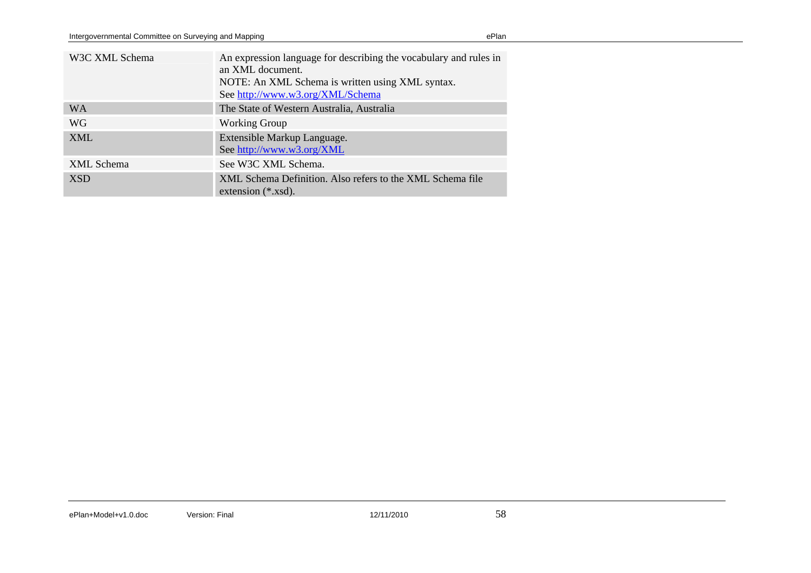| W3C XML Schema    | An expression language for describing the vocabulary and rules in<br>an XML document.<br>NOTE: An XML Schema is written using XML syntax.<br>See http://www.w3.org/XML/Schema |
|-------------------|-------------------------------------------------------------------------------------------------------------------------------------------------------------------------------|
| <b>WA</b>         | The State of Western Australia, Australia                                                                                                                                     |
| WG                | <b>Working Group</b>                                                                                                                                                          |
| <b>XML</b>        | Extensible Markup Language.<br>See http://www.w3.org/XML                                                                                                                      |
| <b>XML</b> Schema | See W3C XML Schema.                                                                                                                                                           |
| <b>XSD</b>        | XML Schema Definition. Also refers to the XML Schema file<br>extension $(*.xsd).$                                                                                             |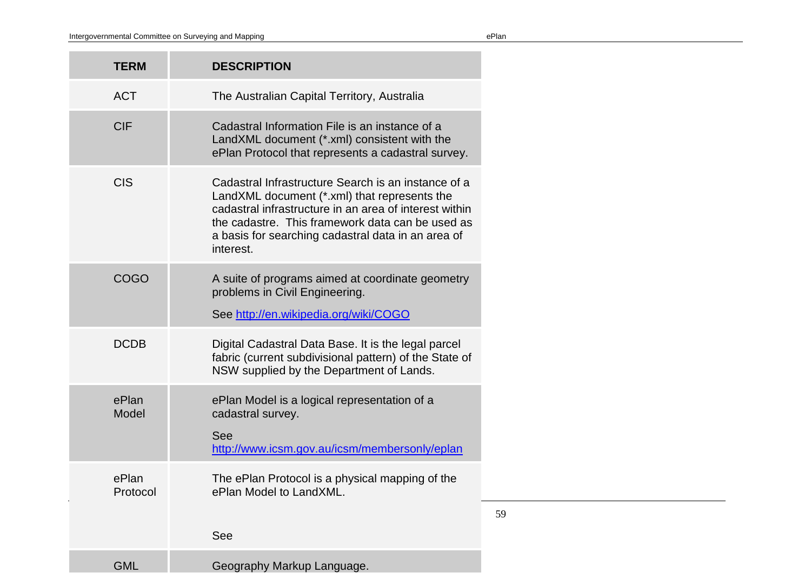| <b>TERM</b>           | <b>DESCRIPTION</b>                                                                                                                                                                                                                                                                   |    |
|-----------------------|--------------------------------------------------------------------------------------------------------------------------------------------------------------------------------------------------------------------------------------------------------------------------------------|----|
| <b>ACT</b>            | The Australian Capital Territory, Australia                                                                                                                                                                                                                                          |    |
| <b>CIF</b>            | Cadastral Information File is an instance of a<br>LandXML document (*.xml) consistent with the<br>ePlan Protocol that represents a cadastral survey.                                                                                                                                 |    |
| <b>CIS</b>            | Cadastral Infrastructure Search is an instance of a<br>LandXML document (*.xml) that represents the<br>cadastral infrastructure in an area of interest within<br>the cadastre. This framework data can be used as<br>a basis for searching cadastral data in an area of<br>interest. |    |
| <b>COGO</b>           | A suite of programs aimed at coordinate geometry<br>problems in Civil Engineering.<br>See http://en.wikipedia.org/wiki/COGO                                                                                                                                                          |    |
| <b>DCDB</b>           | Digital Cadastral Data Base. It is the legal parcel<br>fabric (current subdivisional pattern) of the State of<br>NSW supplied by the Department of Lands.                                                                                                                            |    |
| ePlan<br><b>Model</b> | ePlan Model is a logical representation of a<br>cadastral survey.<br><b>See</b><br>http://www.icsm.gov.au/icsm/membersonly/eplan                                                                                                                                                     |    |
| ePlan<br>Protocol     | The ePlan Protocol is a physical mapping of the<br>ePlan Model to LandXML.                                                                                                                                                                                                           |    |
|                       | See                                                                                                                                                                                                                                                                                  | 59 |
| <b>GML</b>            | Geography Markup Language.                                                                                                                                                                                                                                                           |    |